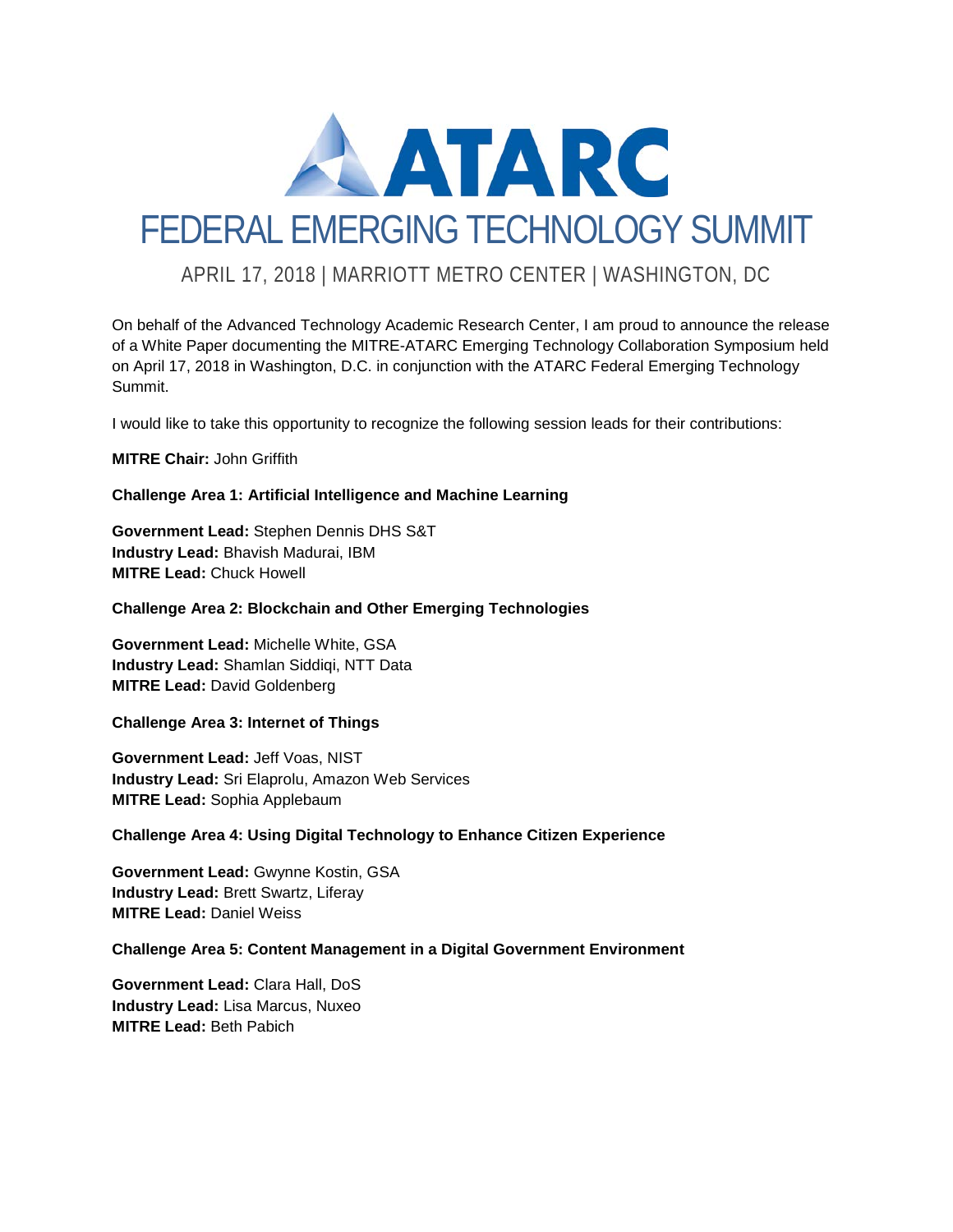

## APRIL 17, 2018 | MARRIOTT METRO CENTER | WASHINGTON, DC

On behalf of the Advanced Technology Academic Research Center, I am proud to announce the release of a White Paper documenting the MITRE-ATARC Emerging Technology Collaboration Symposium held on April 17, 2018 in Washington, D.C. in conjunction with the ATARC Federal Emerging Technology Summit.

I would like to take this opportunity to recognize the following session leads for their contributions:

#### **MITRE Chair:** John Griffith

#### **Challenge Area 1: Artificial Intelligence and Machine Learning**

**Government Lead:** Stephen Dennis DHS S&T **Industry Lead:** Bhavish Madurai, IBM **MITRE Lead:** Chuck Howell

#### **Challenge Area 2: Blockchain and Other Emerging Technologies**

**Government Lead:** Michelle White, GSA **Industry Lead:** Shamlan Siddiqi, NTT Data **MITRE Lead:** David Goldenberg

#### **Challenge Area 3: Internet of Things**

**Government Lead:** Jeff Voas, NIST **Industry Lead:** Sri Elaprolu, Amazon Web Services **MITRE Lead:** Sophia Applebaum

#### **Challenge Area 4: Using Digital Technology to Enhance Citizen Experience**

**Government Lead:** Gwynne Kostin, GSA **Industry Lead:** Brett Swartz, Liferay **MITRE Lead:** Daniel Weiss

#### **Challenge Area 5: Content Management in a Digital Government Environment**

**Government Lead:** Clara Hall, DoS **Industry Lead:** Lisa Marcus, Nuxeo **MITRE Lead:** Beth Pabich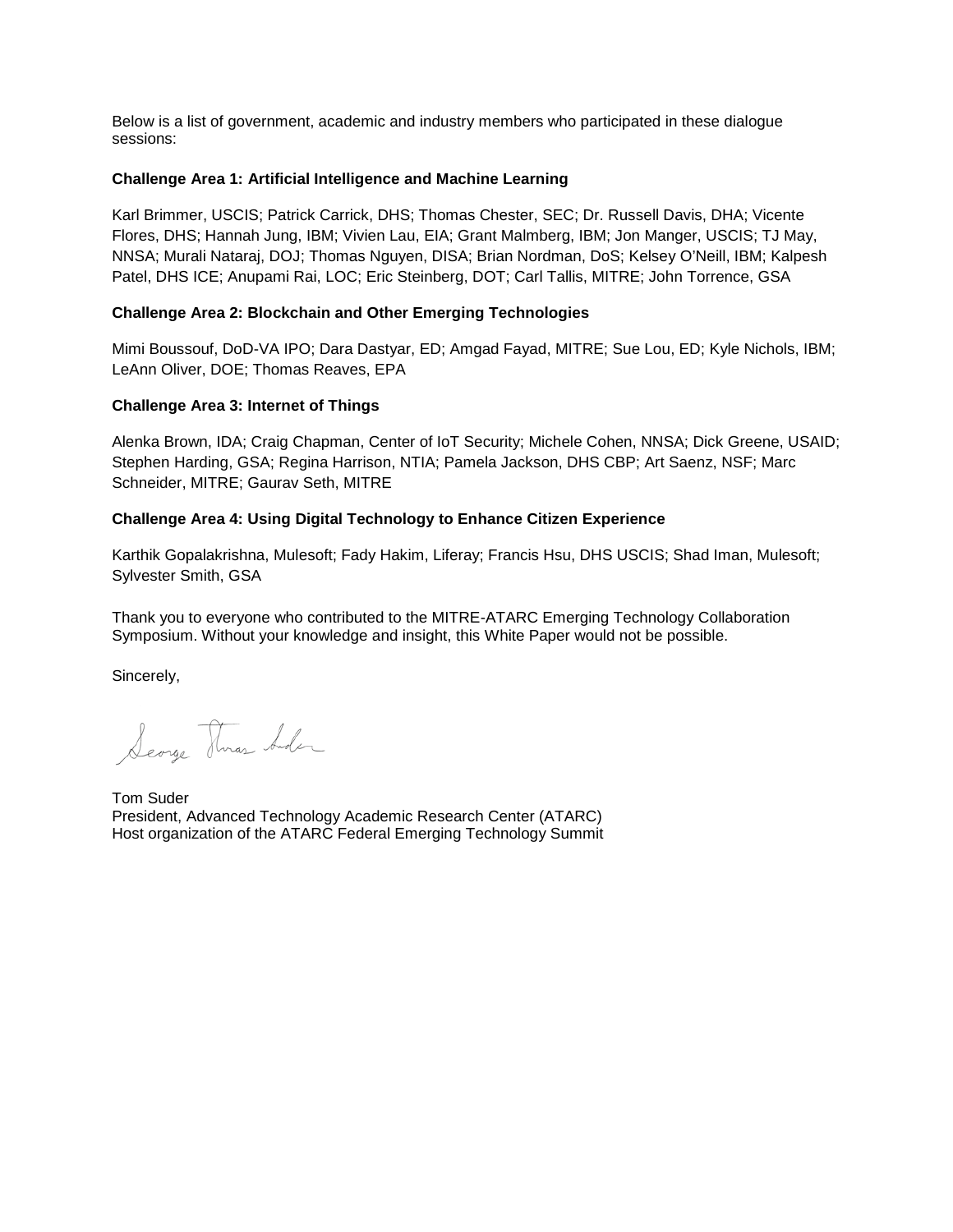Below is a list of government, academic and industry members who participated in these dialogue sessions:

#### **Challenge Area 1: Artificial Intelligence and Machine Learning**

Karl Brimmer, USCIS; Patrick Carrick, DHS; Thomas Chester, SEC; Dr. Russell Davis, DHA; Vicente Flores, DHS; Hannah Jung, IBM; Vivien Lau, EIA; Grant Malmberg, IBM; Jon Manger, USCIS; TJ May, NNSA; Murali Nataraj, DOJ; Thomas Nguyen, DISA; Brian Nordman, DoS; Kelsey O'Neill, IBM; Kalpesh Patel, DHS ICE; Anupami Rai, LOC; Eric Steinberg, DOT; Carl Tallis, MITRE; John Torrence, GSA

#### **Challenge Area 2: Blockchain and Other Emerging Technologies**

Mimi Boussouf, DoD-VA IPO; Dara Dastyar, ED; Amgad Fayad, MITRE; Sue Lou, ED; Kyle Nichols, IBM; LeAnn Oliver, DOE; Thomas Reaves, EPA

#### **Challenge Area 3: Internet of Things**

Alenka Brown, IDA; Craig Chapman, Center of IoT Security; Michele Cohen, NNSA; Dick Greene, USAID; Stephen Harding, GSA; Regina Harrison, NTIA; Pamela Jackson, DHS CBP; Art Saenz, NSF; Marc Schneider, MITRE; Gaurav Seth, MITRE

#### **Challenge Area 4: Using Digital Technology to Enhance Citizen Experience**

Karthik Gopalakrishna, Mulesoft; Fady Hakim, Liferay; Francis Hsu, DHS USCIS; Shad Iman, Mulesoft; Sylvester Smith, GSA

Thank you to everyone who contributed to the MITRE-ATARC Emerging Technology Collaboration Symposium. Without your knowledge and insight, this White Paper would not be possible.

Sincerely,

Searge Three Ander

Tom Suder President, Advanced Technology Academic Research Center (ATARC) Host organization of the ATARC Federal Emerging Technology Summit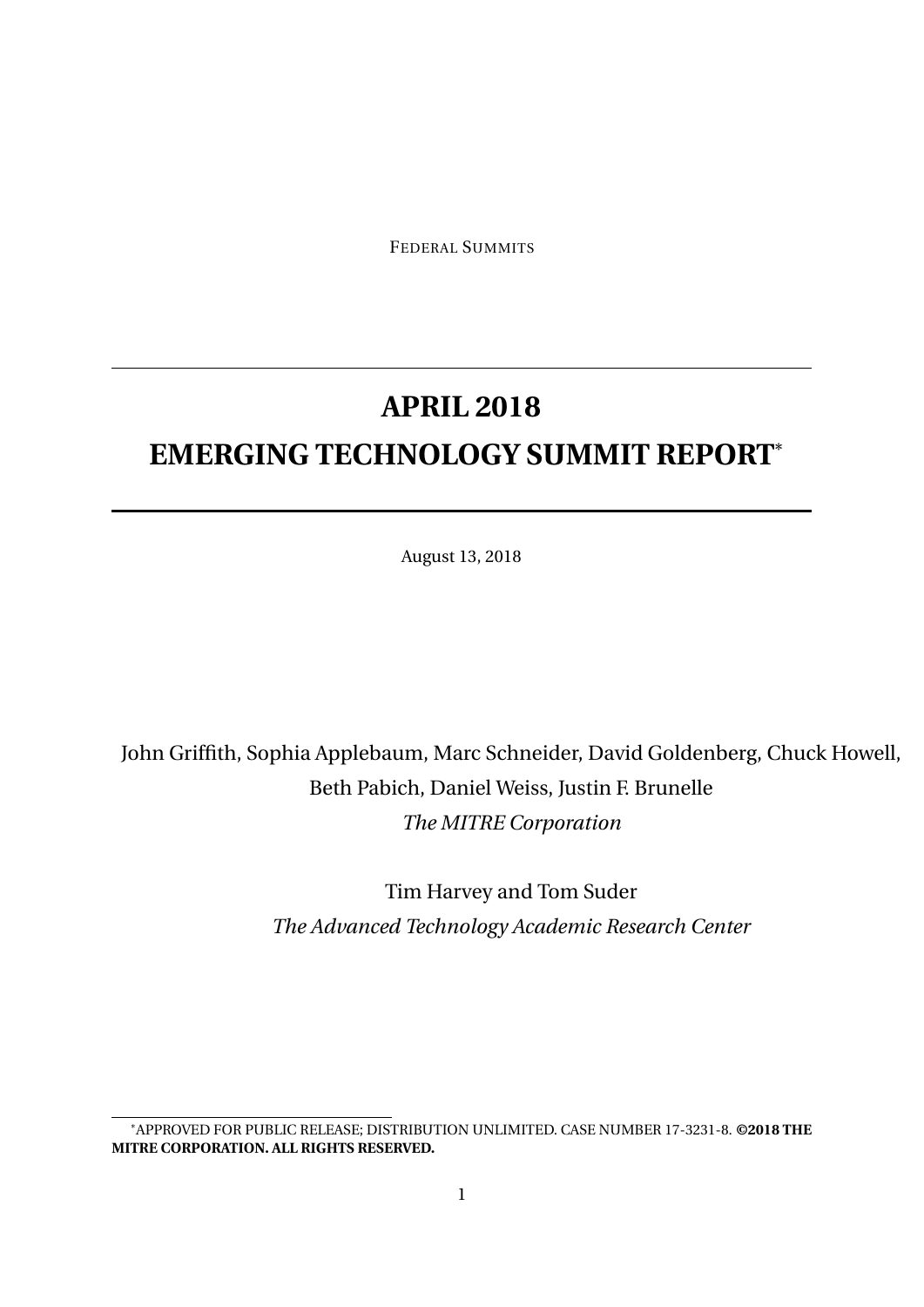FEDERAL SUMMITS

# **APRIL 2018 EMERGING TECHNOLOGY SUMMIT REPORT**\*

August 13, 2018

## John Griffith, Sophia Applebaum, Marc Schneider, David Goldenberg, Chuck Howell, Beth Pabich, Daniel Weiss, Justin F. Brunelle *The MITRE Corporation*

Tim Harvey and Tom Suder *The Advanced Technology Academic Research Center*

<sup>\*</sup>APPROVED FOR PUBLIC RELEASE; DISTRIBUTION UNLIMITED. CASE NUMBER 17-3231-8. **©2018 THE MITRE CORPORATION. ALL RIGHTS RESERVED.**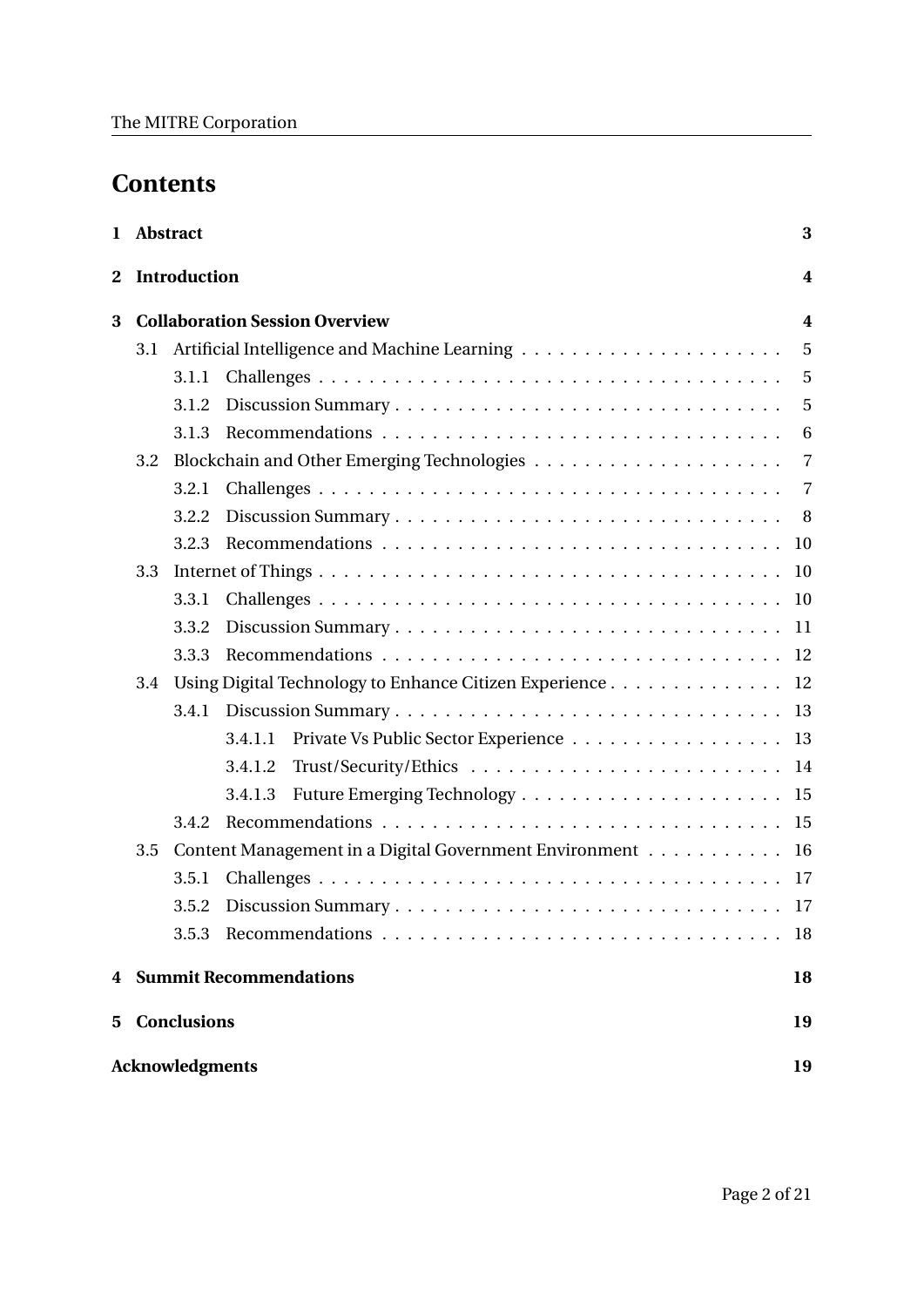## **Contents**

| $\mathbf{1}$ | <b>Abstract</b>                       |              |                                                           | 3                |
|--------------|---------------------------------------|--------------|-----------------------------------------------------------|------------------|
| $\mathbf{2}$ |                                       | Introduction |                                                           | $\boldsymbol{4}$ |
| 3            | <b>Collaboration Session Overview</b> |              |                                                           | $\boldsymbol{4}$ |
|              |                                       |              |                                                           | $\overline{5}$   |
|              |                                       | 3.1.1        |                                                           | $\overline{5}$   |
|              |                                       | 3.1.2        |                                                           | - 5              |
|              |                                       | 3.1.3        |                                                           | 6                |
|              | 3.2                                   |              |                                                           |                  |
|              |                                       | 3.2.1        |                                                           | -7               |
|              |                                       | 3.2.2        |                                                           |                  |
|              |                                       | 3.2.3        |                                                           |                  |
|              | 3.3                                   |              |                                                           |                  |
|              |                                       | 3.3.1        |                                                           |                  |
|              |                                       | 3.3.2        |                                                           |                  |
|              |                                       | 3.3.3        |                                                           |                  |
|              | 3.4                                   |              | Using Digital Technology to Enhance Citizen Experience 12 |                  |
|              |                                       | 3.4.1        |                                                           |                  |
|              |                                       |              | Private Vs Public Sector Experience 13<br>3.4.1.1         |                  |
|              |                                       |              | 3.4.1.2                                                   |                  |
|              |                                       |              | 3.4.1.3                                                   |                  |
|              |                                       | 3.4.2        |                                                           |                  |
|              | 3.5                                   |              | Content Management in a Digital Government Environment 16 |                  |
|              |                                       | 3.5.1        |                                                           |                  |
|              |                                       | 3.5.2        |                                                           |                  |
|              |                                       | 3.5.3        |                                                           | 18               |
| 4            | <b>Summit Recommendations</b>         |              |                                                           | 18               |
| 5            | <b>Conclusions</b>                    |              |                                                           | 19               |
|              | <b>Acknowledgments</b>                |              |                                                           |                  |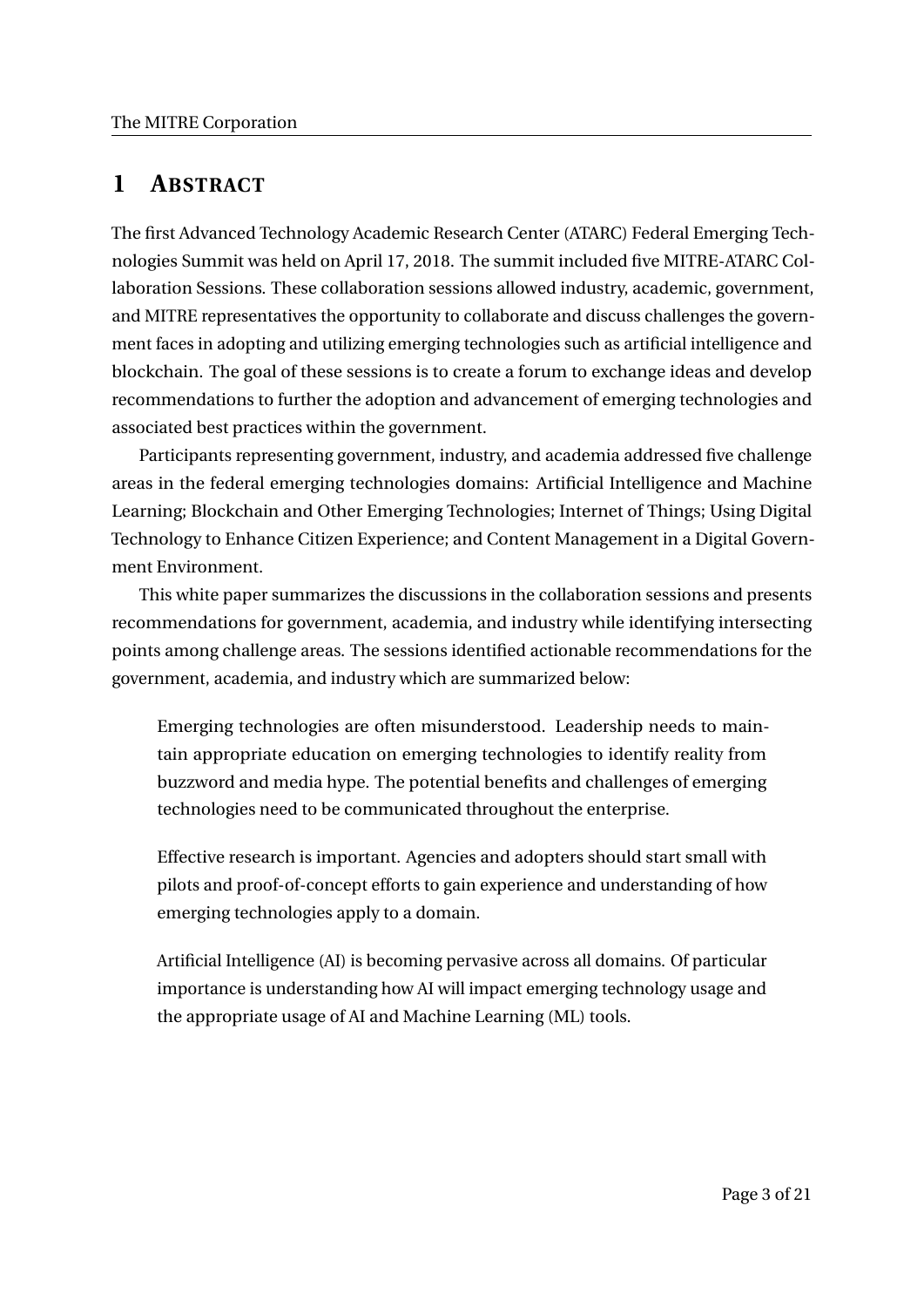## **1 ABSTRACT**

The first Advanced Technology Academic Research Center (ATARC) Federal Emerging Technologies Summit was held on April 17, 2018. The summit included five MITRE-ATARC Collaboration Sessions. These collaboration sessions allowed industry, academic, government, and MITRE representatives the opportunity to collaborate and discuss challenges the government faces in adopting and utilizing emerging technologies such as artificial intelligence and blockchain. The goal of these sessions is to create a forum to exchange ideas and develop recommendations to further the adoption and advancement of emerging technologies and associated best practices within the government.

Participants representing government, industry, and academia addressed five challenge areas in the federal emerging technologies domains: Artificial Intelligence and Machine Learning; Blockchain and Other Emerging Technologies; Internet of Things; Using Digital Technology to Enhance Citizen Experience; and Content Management in a Digital Government Environment.

This white paper summarizes the discussions in the collaboration sessions and presents recommendations for government, academia, and industry while identifying intersecting points among challenge areas. The sessions identified actionable recommendations for the government, academia, and industry which are summarized below:

Emerging technologies are often misunderstood. Leadership needs to maintain appropriate education on emerging technologies to identify reality from buzzword and media hype. The potential benefits and challenges of emerging technologies need to be communicated throughout the enterprise.

Effective research is important. Agencies and adopters should start small with pilots and proof-of-concept efforts to gain experience and understanding of how emerging technologies apply to a domain.

Artificial Intelligence (AI) is becoming pervasive across all domains. Of particular importance is understanding how AI will impact emerging technology usage and the appropriate usage of AI and Machine Learning (ML) tools.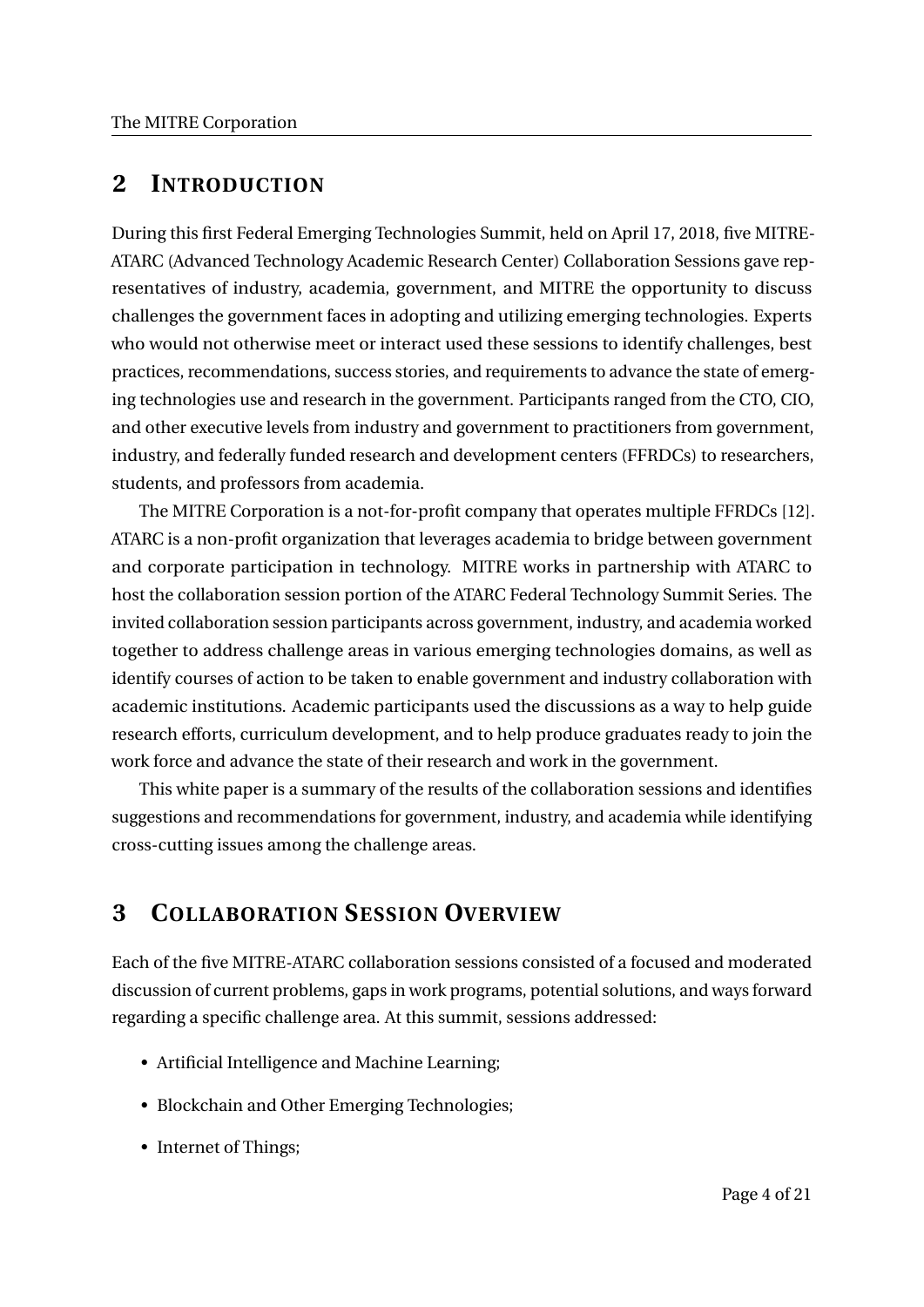## **2 INTRODUCTION**

During this first Federal Emerging Technologies Summit, held on April 17, 2018, five MITRE-ATARC (Advanced Technology Academic Research Center) Collaboration Sessions gave representatives of industry, academia, government, and MITRE the opportunity to discuss challenges the government faces in adopting and utilizing emerging technologies. Experts who would not otherwise meet or interact used these sessions to identify challenges, best practices, recommendations, success stories, and requirements to advance the state of emerging technologies use and research in the government. Participants ranged from the CTO, CIO, and other executive levels from industry and government to practitioners from government, industry, and federally funded research and development centers (FFRDCs) to researchers, students, and professors from academia.

The MITRE Corporation is a not-for-profit company that operates multiple FFRDCs [12]. ATARC is a non-profit organization that leverages academia to bridge between government and corporate participation in technology. MITRE works in partnership with ATARC to host the collaboration session portion of the ATARC Federal Technology Summit Series. The invited collaboration session participants across government, industry, and academia worked together to address challenge areas in various emerging technologies domains, as well as identify courses of action to be taken to enable government and industry collaboration with academic institutions. Academic participants used the discussions as a way to help guide research efforts, curriculum development, and to help produce graduates ready to join the work force and advance the state of their research and work in the government.

This white paper is a summary of the results of the collaboration sessions and identifies suggestions and recommendations for government, industry, and academia while identifying cross-cutting issues among the challenge areas.

## **3 COLLABORATION SESSION OVERVIEW**

Each of the five MITRE-ATARC collaboration sessions consisted of a focused and moderated discussion of current problems, gaps in work programs, potential solutions, and ways forward regarding a specific challenge area. At this summit, sessions addressed:

- Artificial Intelligence and Machine Learning;
- Blockchain and Other Emerging Technologies;
- Internet of Things;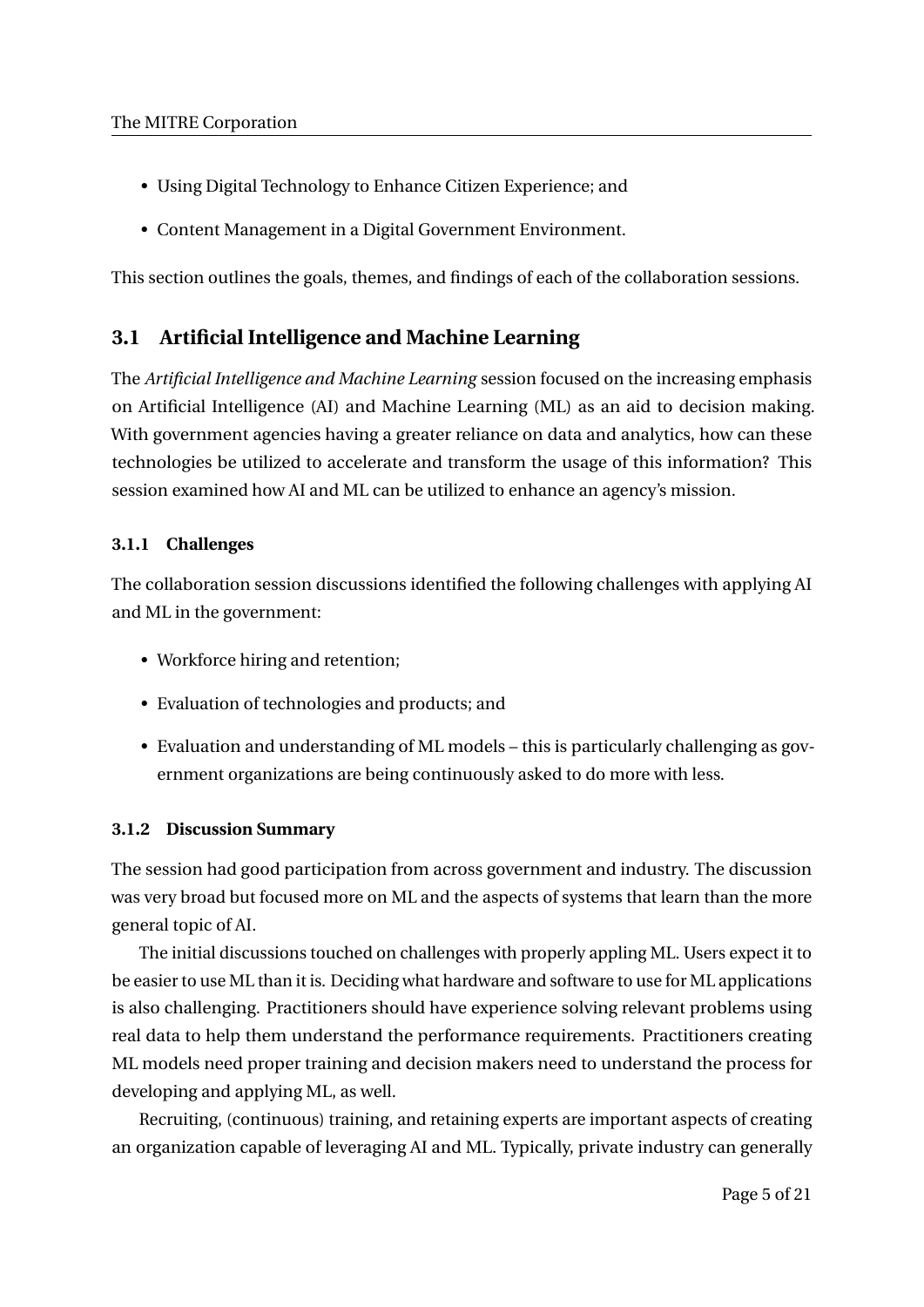- Using Digital Technology to Enhance Citizen Experience; and
- Content Management in a Digital Government Environment.

This section outlines the goals, themes, and findings of each of the collaboration sessions.

## **3.1 Artificial Intelligence and Machine Learning**

The *Artificial Intelligence and Machine Learning* session focused on the increasing emphasis on Artificial Intelligence (AI) and Machine Learning (ML) as an aid to decision making. With government agencies having a greater reliance on data and analytics, how can these technologies be utilized to accelerate and transform the usage of this information? This session examined how AI and ML can be utilized to enhance an agency's mission.

## **3.1.1 Challenges**

The collaboration session discussions identified the following challenges with applying AI and ML in the government:

- Workforce hiring and retention;
- Evaluation of technologies and products; and
- Evaluation and understanding of ML models this is particularly challenging as government organizations are being continuously asked to do more with less.

## **3.1.2 Discussion Summary**

The session had good participation from across government and industry. The discussion was very broad but focused more on ML and the aspects of systems that learn than the more general topic of AI.

The initial discussions touched on challenges with properly appling ML. Users expect it to be easier to use ML than it is. Deciding what hardware and software to use for ML applications is also challenging. Practitioners should have experience solving relevant problems using real data to help them understand the performance requirements. Practitioners creating ML models need proper training and decision makers need to understand the process for developing and applying ML, as well.

Recruiting, (continuous) training, and retaining experts are important aspects of creating an organization capable of leveraging AI and ML. Typically, private industry can generally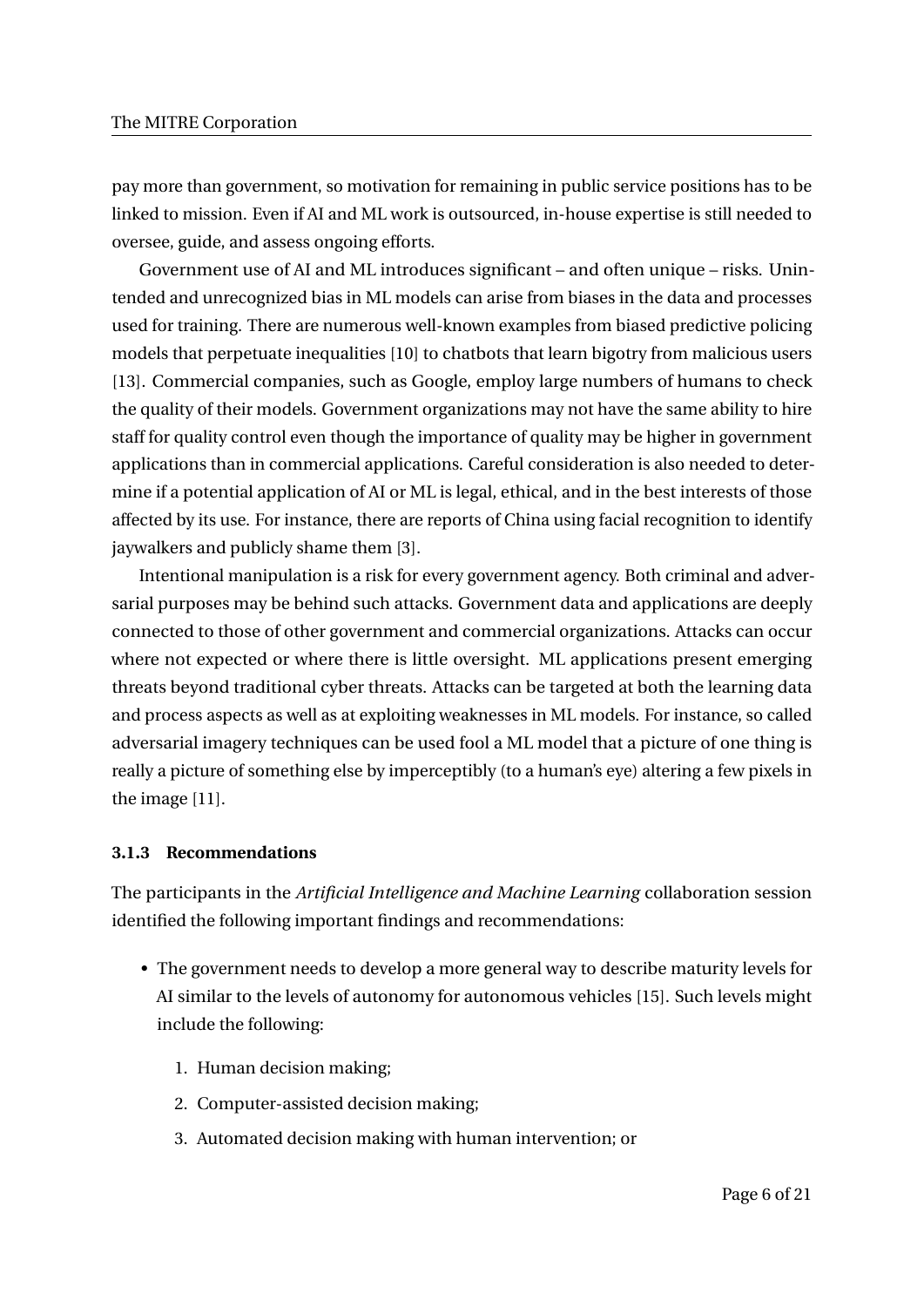pay more than government, so motivation for remaining in public service positions has to be linked to mission. Even if AI and ML work is outsourced, in-house expertise is still needed to oversee, guide, and assess ongoing efforts.

Government use of AI and ML introduces significant – and often unique – risks. Unintended and unrecognized bias in ML models can arise from biases in the data and processes used for training. There are numerous well-known examples from biased predictive policing models that perpetuate inequalities [10] to chatbots that learn bigotry from malicious users [13]. Commercial companies, such as Google, employ large numbers of humans to check the quality of their models. Government organizations may not have the same ability to hire staff for quality control even though the importance of quality may be higher in government applications than in commercial applications. Careful consideration is also needed to determine if a potential application of AI or ML is legal, ethical, and in the best interests of those affected by its use. For instance, there are reports of China using facial recognition to identify jaywalkers and publicly shame them [3].

Intentional manipulation is a risk for every government agency. Both criminal and adversarial purposes may be behind such attacks. Government data and applications are deeply connected to those of other government and commercial organizations. Attacks can occur where not expected or where there is little oversight. ML applications present emerging threats beyond traditional cyber threats. Attacks can be targeted at both the learning data and process aspects as well as at exploiting weaknesses in ML models. For instance, so called adversarial imagery techniques can be used fool a ML model that a picture of one thing is really a picture of something else by imperceptibly (to a human's eye) altering a few pixels in the image [11].

#### **3.1.3 Recommendations**

The participants in the *Artificial Intelligence and Machine Learning* collaboration session identified the following important findings and recommendations:

- The government needs to develop a more general way to describe maturity levels for AI similar to the levels of autonomy for autonomous vehicles [15]. Such levels might include the following:
	- 1. Human decision making;
	- 2. Computer-assisted decision making;
	- 3. Automated decision making with human intervention; or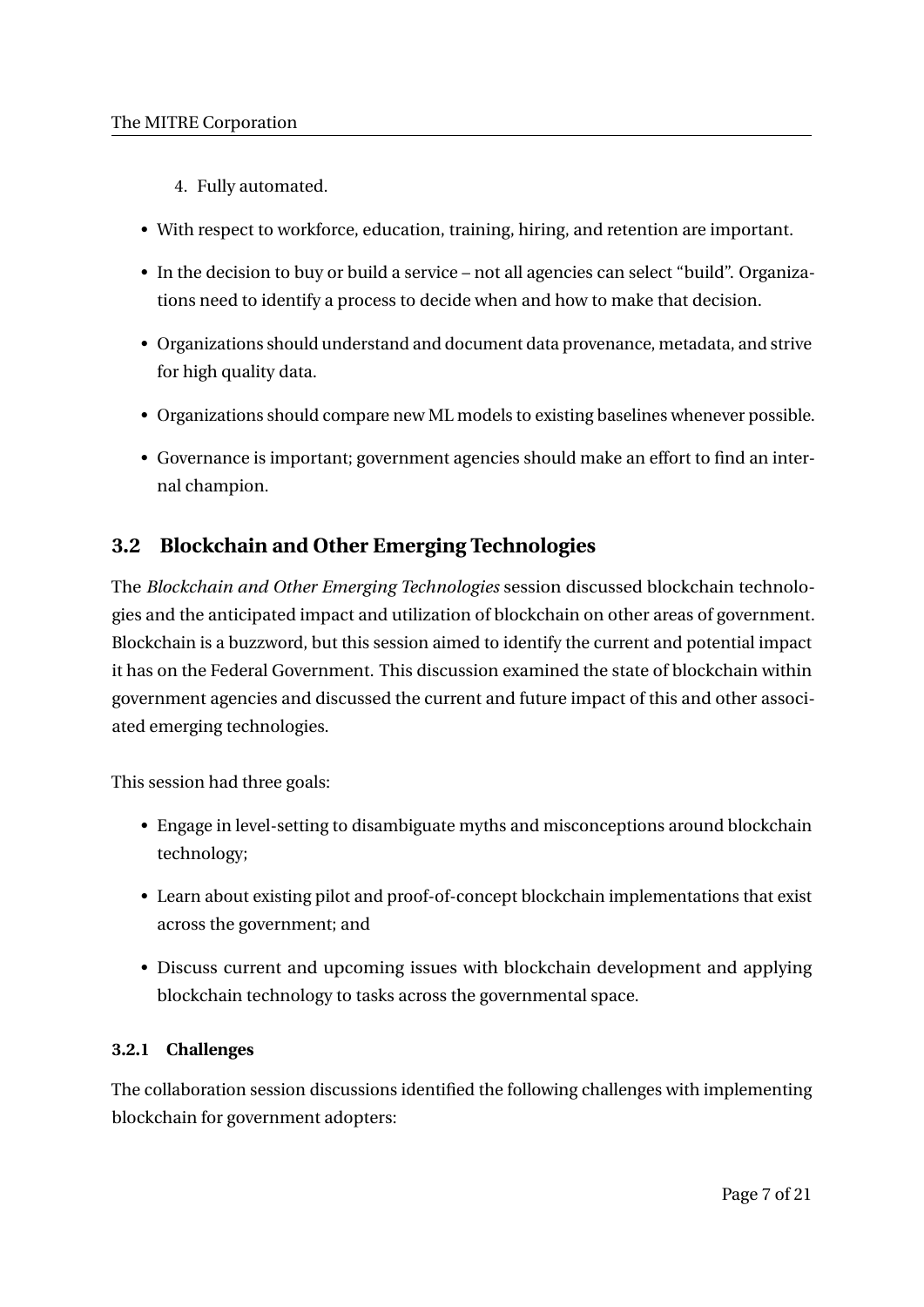- 4. Fully automated.
- With respect to workforce, education, training, hiring, and retention are important.
- In the decision to buy or build a service not all agencies can select "build". Organizations need to identify a process to decide when and how to make that decision.
- Organizations should understand and document data provenance, metadata, and strive for high quality data.
- Organizations should compare new ML models to existing baselines whenever possible.
- Governance is important; government agencies should make an effort to find an internal champion.

## **3.2 Blockchain and Other Emerging Technologies**

The *Blockchain and Other Emerging Technologies* session discussed blockchain technologies and the anticipated impact and utilization of blockchain on other areas of government. Blockchain is a buzzword, but this session aimed to identify the current and potential impact it has on the Federal Government. This discussion examined the state of blockchain within government agencies and discussed the current and future impact of this and other associated emerging technologies.

This session had three goals:

- Engage in level-setting to disambiguate myths and misconceptions around blockchain technology;
- Learn about existing pilot and proof-of-concept blockchain implementations that exist across the government; and
- Discuss current and upcoming issues with blockchain development and applying blockchain technology to tasks across the governmental space.

## **3.2.1 Challenges**

The collaboration session discussions identified the following challenges with implementing blockchain for government adopters: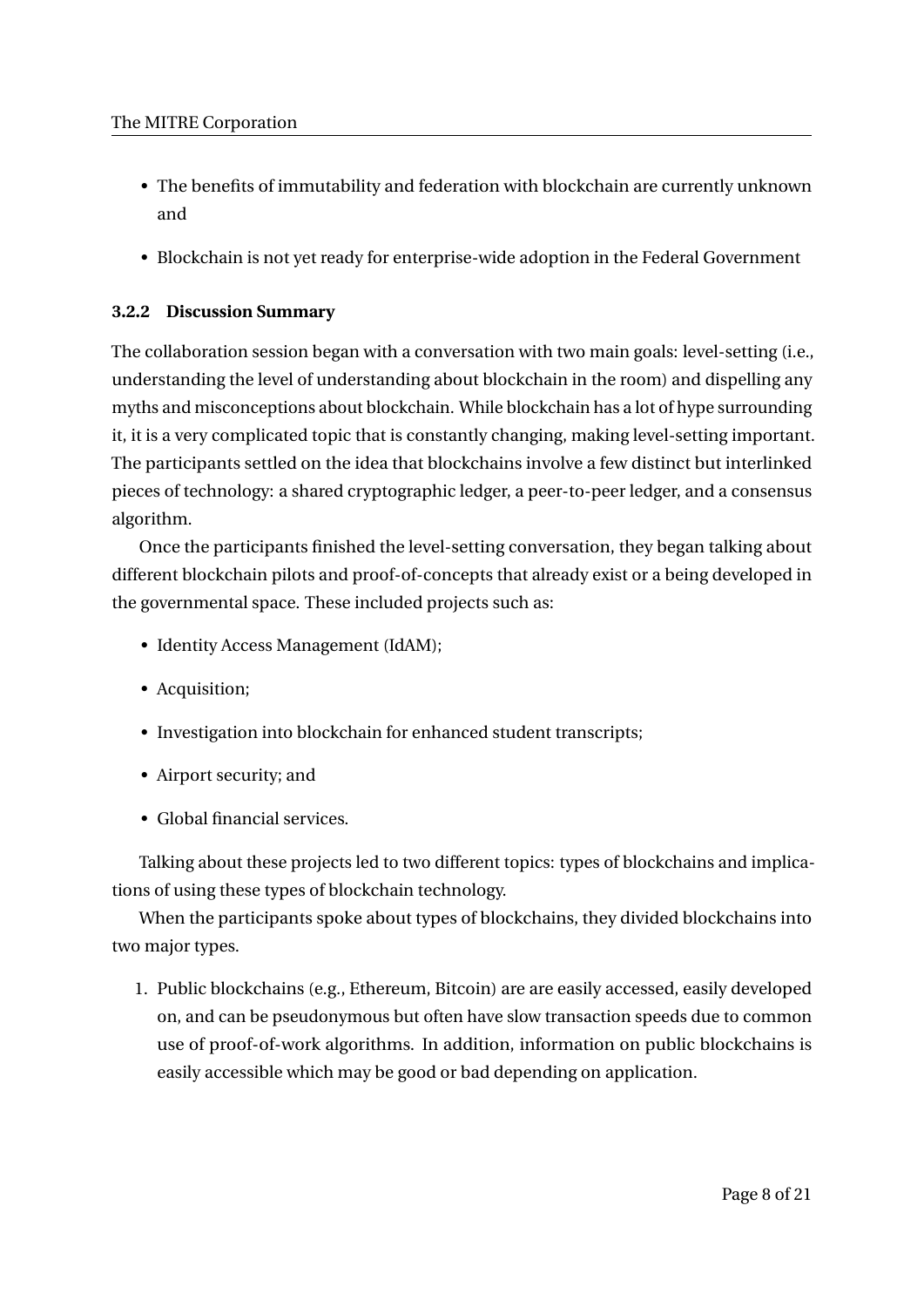- The benefits of immutability and federation with blockchain are currently unknown and
- Blockchain is not yet ready for enterprise-wide adoption in the Federal Government

## **3.2.2 Discussion Summary**

The collaboration session began with a conversation with two main goals: level-setting (i.e., understanding the level of understanding about blockchain in the room) and dispelling any myths and misconceptions about blockchain. While blockchain has a lot of hype surrounding it, it is a very complicated topic that is constantly changing, making level-setting important. The participants settled on the idea that blockchains involve a few distinct but interlinked pieces of technology: a shared cryptographic ledger, a peer-to-peer ledger, and a consensus algorithm.

Once the participants finished the level-setting conversation, they began talking about different blockchain pilots and proof-of-concepts that already exist or a being developed in the governmental space. These included projects such as:

- Identity Access Management (IdAM);
- Acquisition;
- Investigation into blockchain for enhanced student transcripts;
- Airport security; and
- Global financial services.

Talking about these projects led to two different topics: types of blockchains and implications of using these types of blockchain technology.

When the participants spoke about types of blockchains, they divided blockchains into two major types.

1. Public blockchains (e.g., Ethereum, Bitcoin) are are easily accessed, easily developed on, and can be pseudonymous but often have slow transaction speeds due to common use of proof-of-work algorithms. In addition, information on public blockchains is easily accessible which may be good or bad depending on application.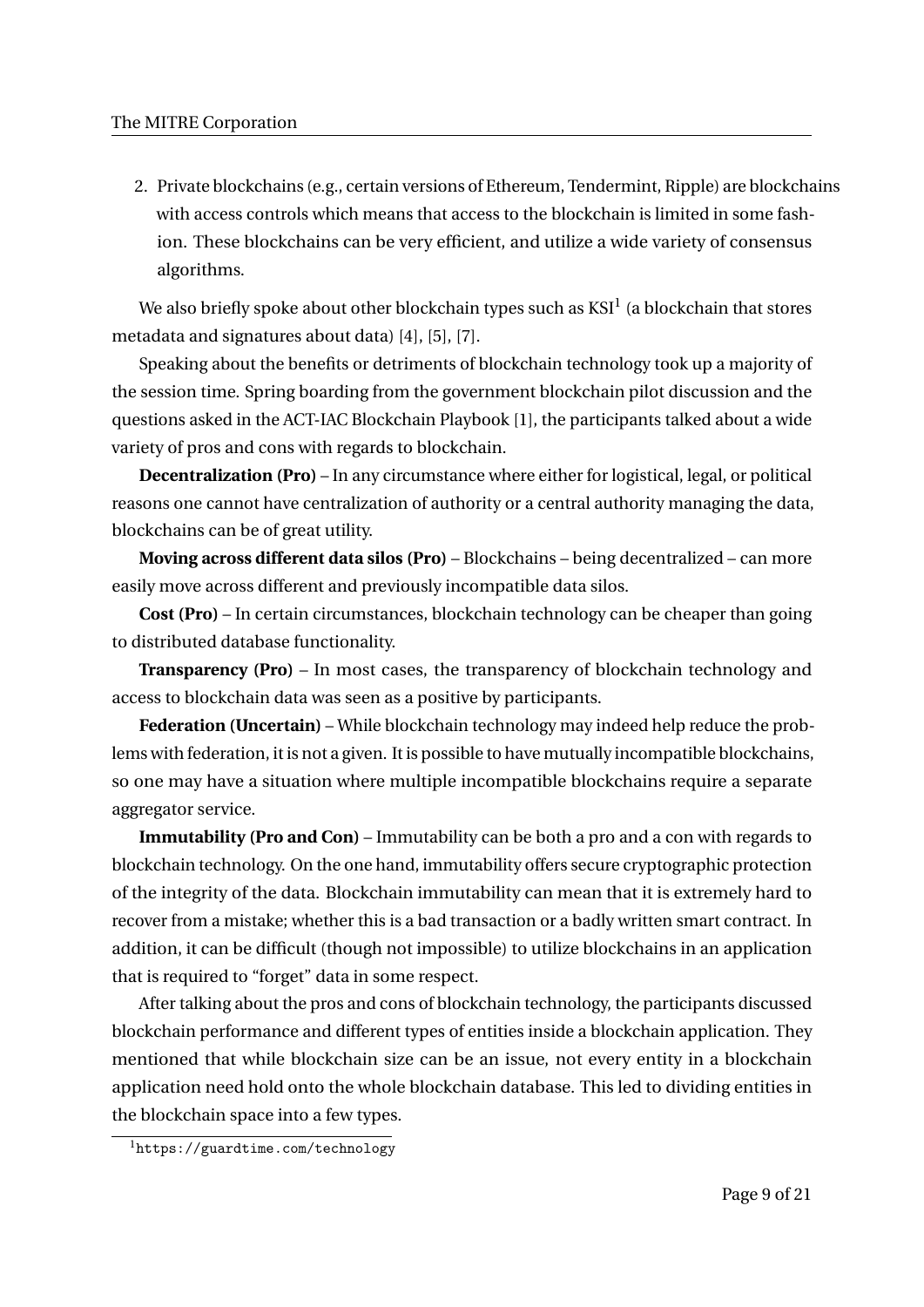2. Private blockchains (e.g., certain versions of Ethereum, Tendermint, Ripple) are blockchains with access controls which means that access to the blockchain is limited in some fashion. These blockchains can be very efficient, and utilize a wide variety of consensus algorithms.

We also briefly spoke about other blockchain types such as  $\mathrm{KSI}^1$  (a blockchain that stores metadata and signatures about data) [4], [5], [7].

Speaking about the benefits or detriments of blockchain technology took up a majority of the session time. Spring boarding from the government blockchain pilot discussion and the questions asked in the ACT-IAC Blockchain Playbook [1], the participants talked about a wide variety of pros and cons with regards to blockchain.

**Decentralization (Pro)** – In any circumstance where either for logistical, legal, or political reasons one cannot have centralization of authority or a central authority managing the data, blockchains can be of great utility.

**Moving across different data silos (Pro)** – Blockchains – being decentralized – can more easily move across different and previously incompatible data silos.

**Cost (Pro)** – In certain circumstances, blockchain technology can be cheaper than going to distributed database functionality.

**Transparency (Pro)** – In most cases, the transparency of blockchain technology and access to blockchain data was seen as a positive by participants.

**Federation (Uncertain)** – While blockchain technology may indeed help reduce the problems with federation, it is not a given. It is possible to have mutually incompatible blockchains, so one may have a situation where multiple incompatible blockchains require a separate aggregator service.

**Immutability (Pro and Con)** – Immutability can be both a pro and a con with regards to blockchain technology. On the one hand, immutability offers secure cryptographic protection of the integrity of the data. Blockchain immutability can mean that it is extremely hard to recover from a mistake; whether this is a bad transaction or a badly written smart contract. In addition, it can be difficult (though not impossible) to utilize blockchains in an application that is required to "forget" data in some respect.

After talking about the pros and cons of blockchain technology, the participants discussed blockchain performance and different types of entities inside a blockchain application. They mentioned that while blockchain size can be an issue, not every entity in a blockchain application need hold onto the whole blockchain database. This led to dividing entities in the blockchain space into a few types.

<sup>1</sup>https://guardtime.com/technology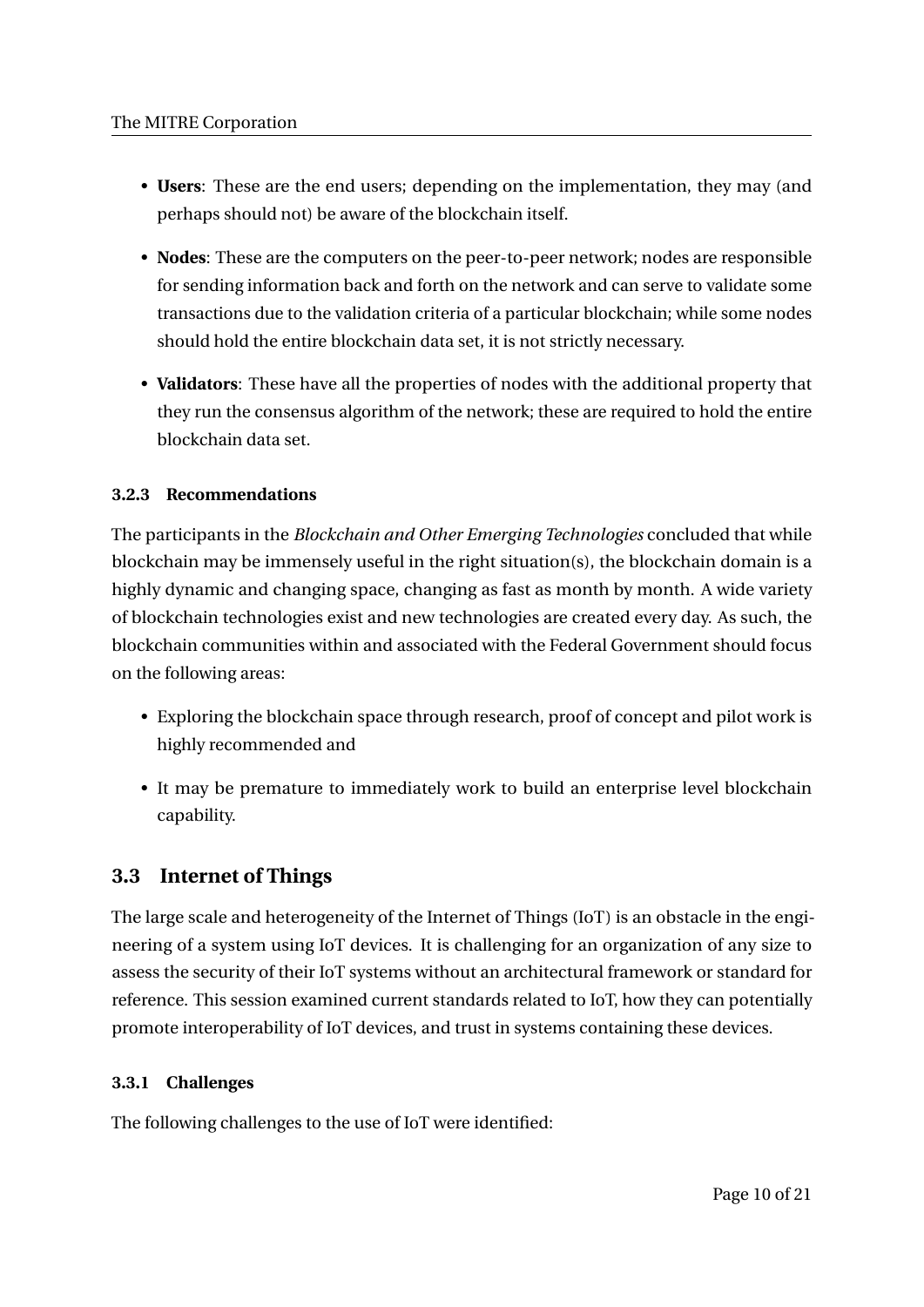- **Users**: These are the end users; depending on the implementation, they may (and perhaps should not) be aware of the blockchain itself.
- **Nodes**: These are the computers on the peer-to-peer network; nodes are responsible for sending information back and forth on the network and can serve to validate some transactions due to the validation criteria of a particular blockchain; while some nodes should hold the entire blockchain data set, it is not strictly necessary.
- **Validators**: These have all the properties of nodes with the additional property that they run the consensus algorithm of the network; these are required to hold the entire blockchain data set.

## **3.2.3 Recommendations**

The participants in the *Blockchain and Other Emerging Technologies* concluded that while blockchain may be immensely useful in the right situation(s), the blockchain domain is a highly dynamic and changing space, changing as fast as month by month. A wide variety of blockchain technologies exist and new technologies are created every day. As such, the blockchain communities within and associated with the Federal Government should focus on the following areas:

- Exploring the blockchain space through research, proof of concept and pilot work is highly recommended and
- It may be premature to immediately work to build an enterprise level blockchain capability.

## **3.3 Internet of Things**

The large scale and heterogeneity of the Internet of Things (IoT) is an obstacle in the engineering of a system using IoT devices. It is challenging for an organization of any size to assess the security of their IoT systems without an architectural framework or standard for reference. This session examined current standards related to IoT, how they can potentially promote interoperability of IoT devices, and trust in systems containing these devices.

## **3.3.1 Challenges**

The following challenges to the use of IoT were identified: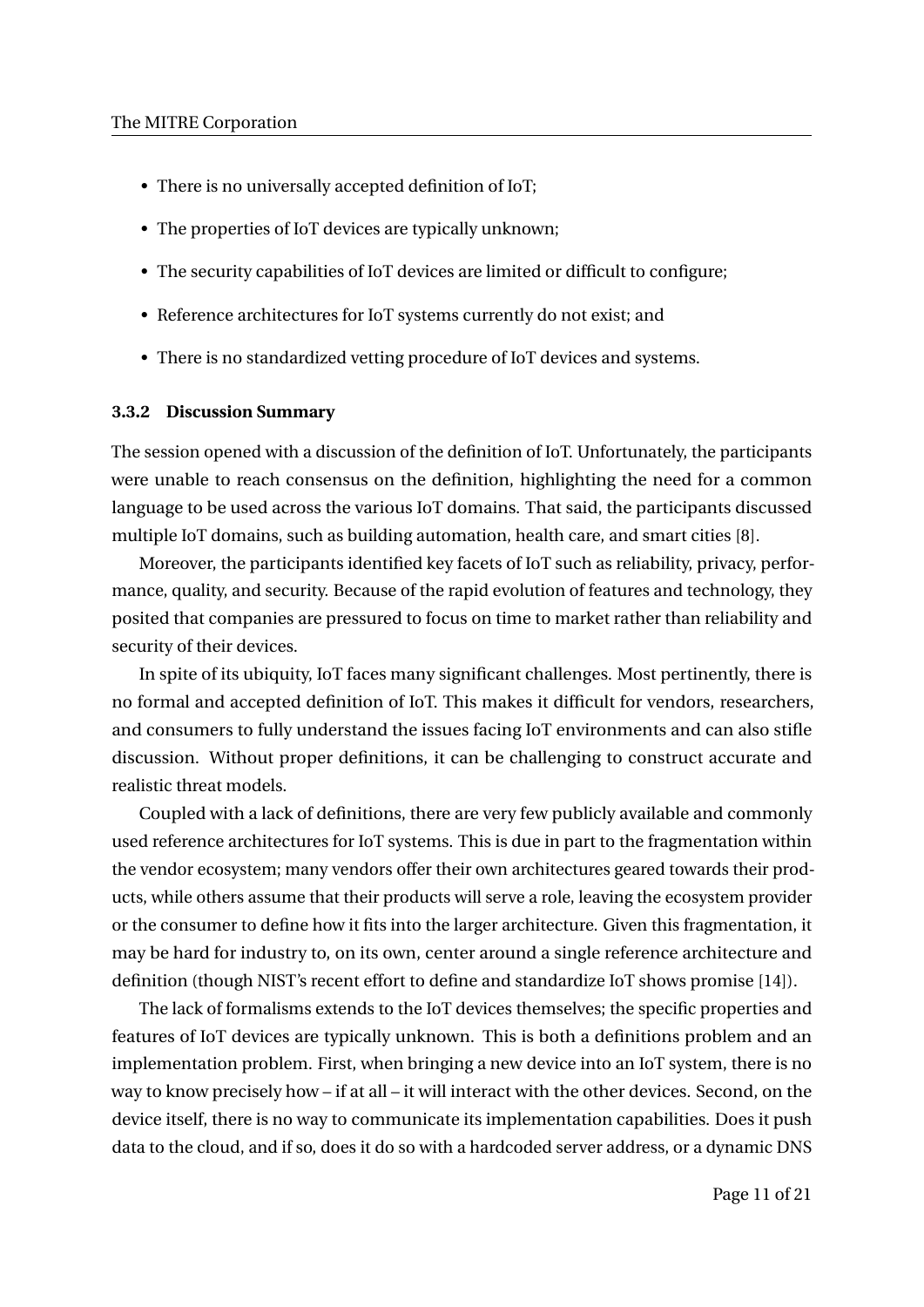- There is no universally accepted definition of IoT;
- The properties of IoT devices are typically unknown;
- The security capabilities of IoT devices are limited or difficult to configure;
- Reference architectures for IoT systems currently do not exist; and
- There is no standardized vetting procedure of IoT devices and systems.

#### **3.3.2 Discussion Summary**

The session opened with a discussion of the definition of IoT. Unfortunately, the participants were unable to reach consensus on the definition, highlighting the need for a common language to be used across the various IoT domains. That said, the participants discussed multiple IoT domains, such as building automation, health care, and smart cities [8].

Moreover, the participants identified key facets of IoT such as reliability, privacy, performance, quality, and security. Because of the rapid evolution of features and technology, they posited that companies are pressured to focus on time to market rather than reliability and security of their devices.

In spite of its ubiquity, IoT faces many significant challenges. Most pertinently, there is no formal and accepted definition of IoT. This makes it difficult for vendors, researchers, and consumers to fully understand the issues facing IoT environments and can also stifle discussion. Without proper definitions, it can be challenging to construct accurate and realistic threat models.

Coupled with a lack of definitions, there are very few publicly available and commonly used reference architectures for IoT systems. This is due in part to the fragmentation within the vendor ecosystem; many vendors offer their own architectures geared towards their products, while others assume that their products will serve a role, leaving the ecosystem provider or the consumer to define how it fits into the larger architecture. Given this fragmentation, it may be hard for industry to, on its own, center around a single reference architecture and definition (though NIST's recent effort to define and standardize IoT shows promise [14]).

The lack of formalisms extends to the IoT devices themselves; the specific properties and features of IoT devices are typically unknown. This is both a definitions problem and an implementation problem. First, when bringing a new device into an IoT system, there is no way to know precisely how – if at all – it will interact with the other devices. Second, on the device itself, there is no way to communicate its implementation capabilities. Does it push data to the cloud, and if so, does it do so with a hardcoded server address, or a dynamic DNS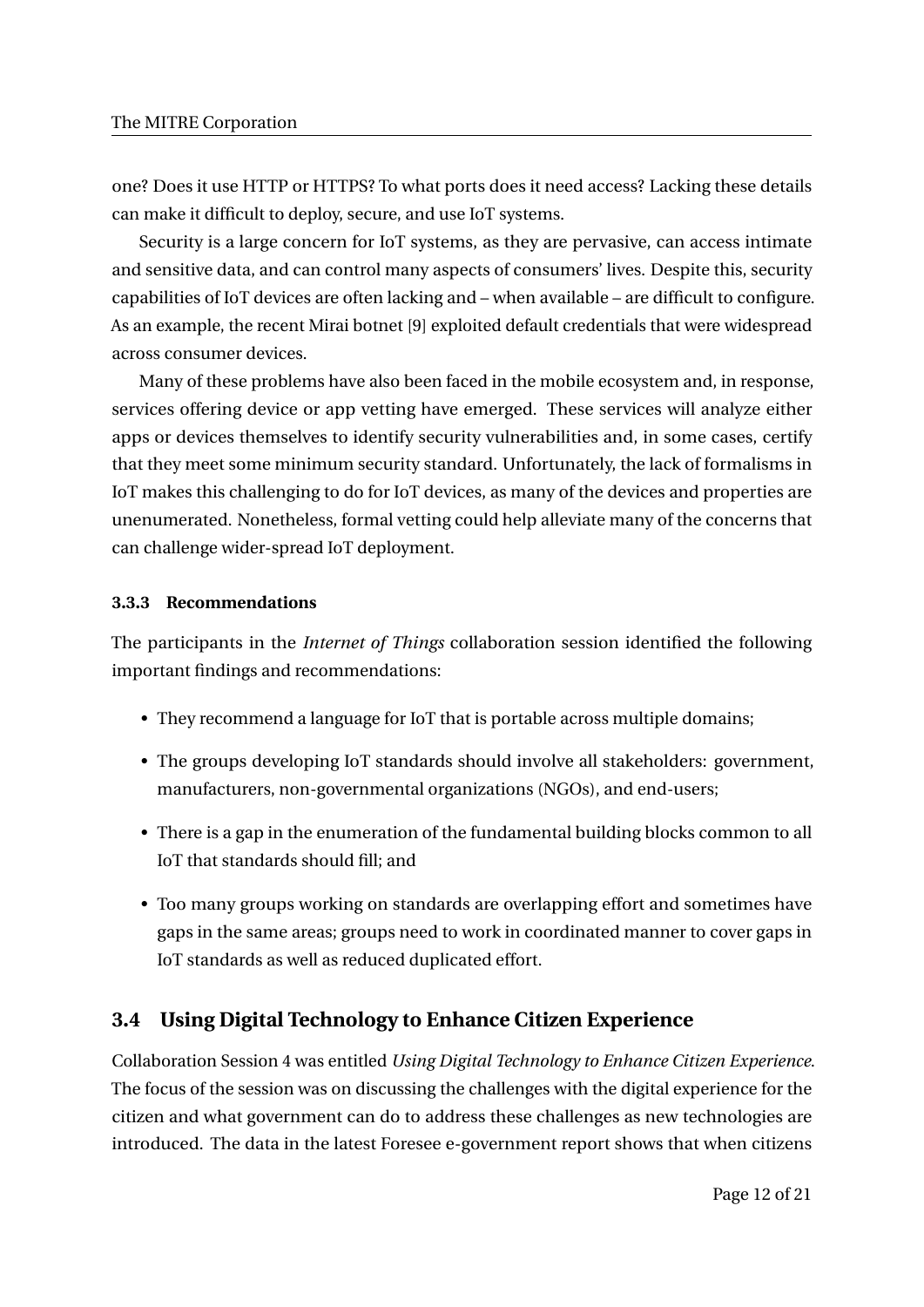one? Does it use HTTP or HTTPS? To what ports does it need access? Lacking these details can make it difficult to deploy, secure, and use IoT systems.

Security is a large concern for IoT systems, as they are pervasive, can access intimate and sensitive data, and can control many aspects of consumers' lives. Despite this, security capabilities of IoT devices are often lacking and – when available – are difficult to configure. As an example, the recent Mirai botnet [9] exploited default credentials that were widespread across consumer devices.

Many of these problems have also been faced in the mobile ecosystem and, in response, services offering device or app vetting have emerged. These services will analyze either apps or devices themselves to identify security vulnerabilities and, in some cases, certify that they meet some minimum security standard. Unfortunately, the lack of formalisms in IoT makes this challenging to do for IoT devices, as many of the devices and properties are unenumerated. Nonetheless, formal vetting could help alleviate many of the concerns that can challenge wider-spread IoT deployment.

## **3.3.3 Recommendations**

The participants in the *Internet of Things* collaboration session identified the following important findings and recommendations:

- They recommend a language for IoT that is portable across multiple domains;
- The groups developing IoT standards should involve all stakeholders: government, manufacturers, non-governmental organizations (NGOs), and end-users;
- There is a gap in the enumeration of the fundamental building blocks common to all IoT that standards should fill; and
- Too many groups working on standards are overlapping effort and sometimes have gaps in the same areas; groups need to work in coordinated manner to cover gaps in IoT standards as well as reduced duplicated effort.

## **3.4 Using Digital Technology to Enhance Citizen Experience**

Collaboration Session 4 was entitled *Using Digital Technology to Enhance Citizen Experience*. The focus of the session was on discussing the challenges with the digital experience for the citizen and what government can do to address these challenges as new technologies are introduced. The data in the latest Foresee e-government report shows that when citizens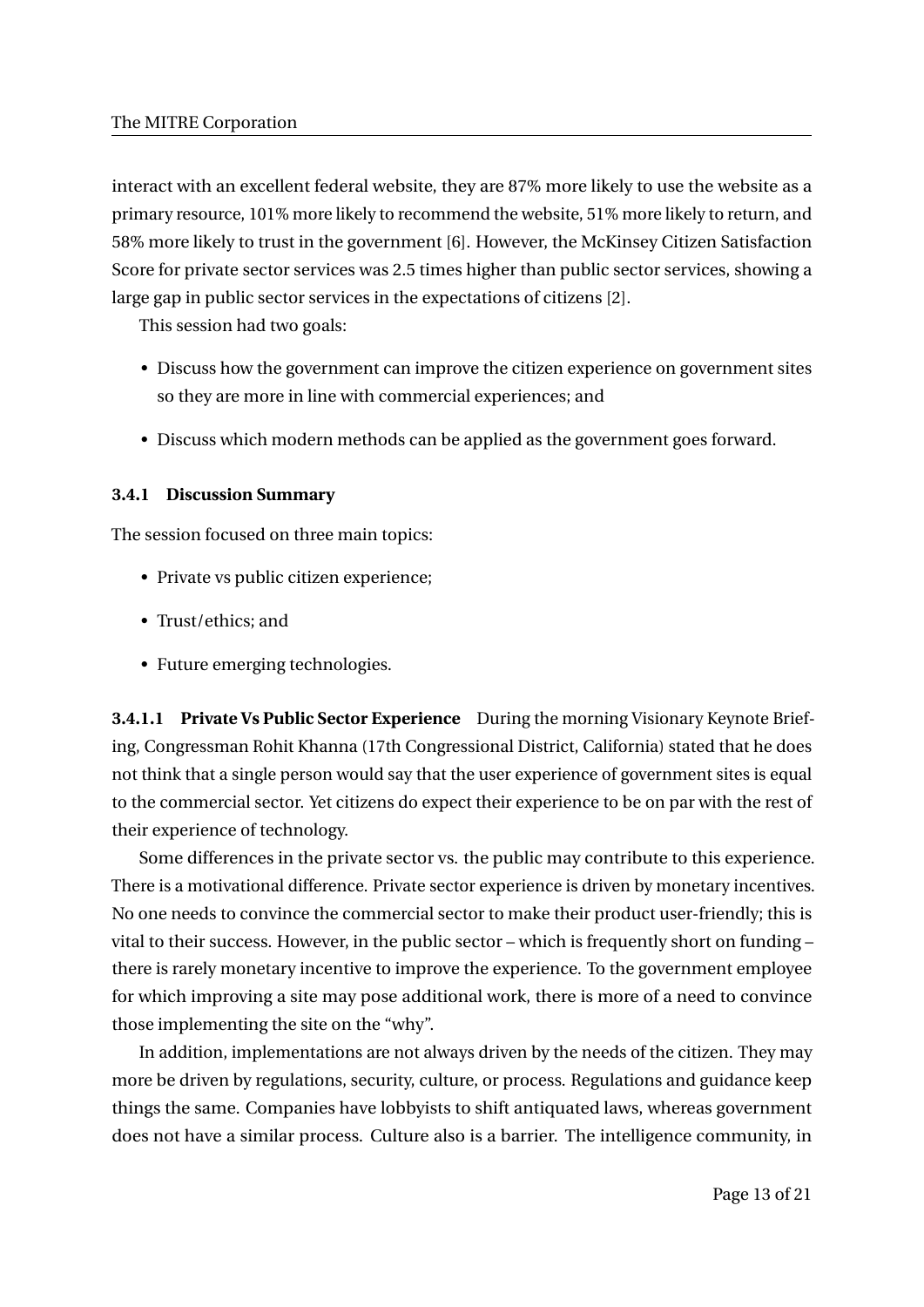interact with an excellent federal website, they are 87% more likely to use the website as a primary resource, 101% more likely to recommend the website, 51% more likely to return, and 58% more likely to trust in the government [6]. However, the McKinsey Citizen Satisfaction Score for private sector services was 2.5 times higher than public sector services, showing a large gap in public sector services in the expectations of citizens [2].

This session had two goals:

- Discuss how the government can improve the citizen experience on government sites so they are more in line with commercial experiences; and
- Discuss which modern methods can be applied as the government goes forward.

### **3.4.1 Discussion Summary**

The session focused on three main topics:

- Private vs public citizen experience;
- Trust/ethics; and
- Future emerging technologies.

**3.4.1.1 Private Vs Public Sector Experience** During the morning Visionary Keynote Briefing, Congressman Rohit Khanna (17th Congressional District, California) stated that he does not think that a single person would say that the user experience of government sites is equal to the commercial sector. Yet citizens do expect their experience to be on par with the rest of their experience of technology.

Some differences in the private sector vs. the public may contribute to this experience. There is a motivational difference. Private sector experience is driven by monetary incentives. No one needs to convince the commercial sector to make their product user-friendly; this is vital to their success. However, in the public sector – which is frequently short on funding – there is rarely monetary incentive to improve the experience. To the government employee for which improving a site may pose additional work, there is more of a need to convince those implementing the site on the "why".

In addition, implementations are not always driven by the needs of the citizen. They may more be driven by regulations, security, culture, or process. Regulations and guidance keep things the same. Companies have lobbyists to shift antiquated laws, whereas government does not have a similar process. Culture also is a barrier. The intelligence community, in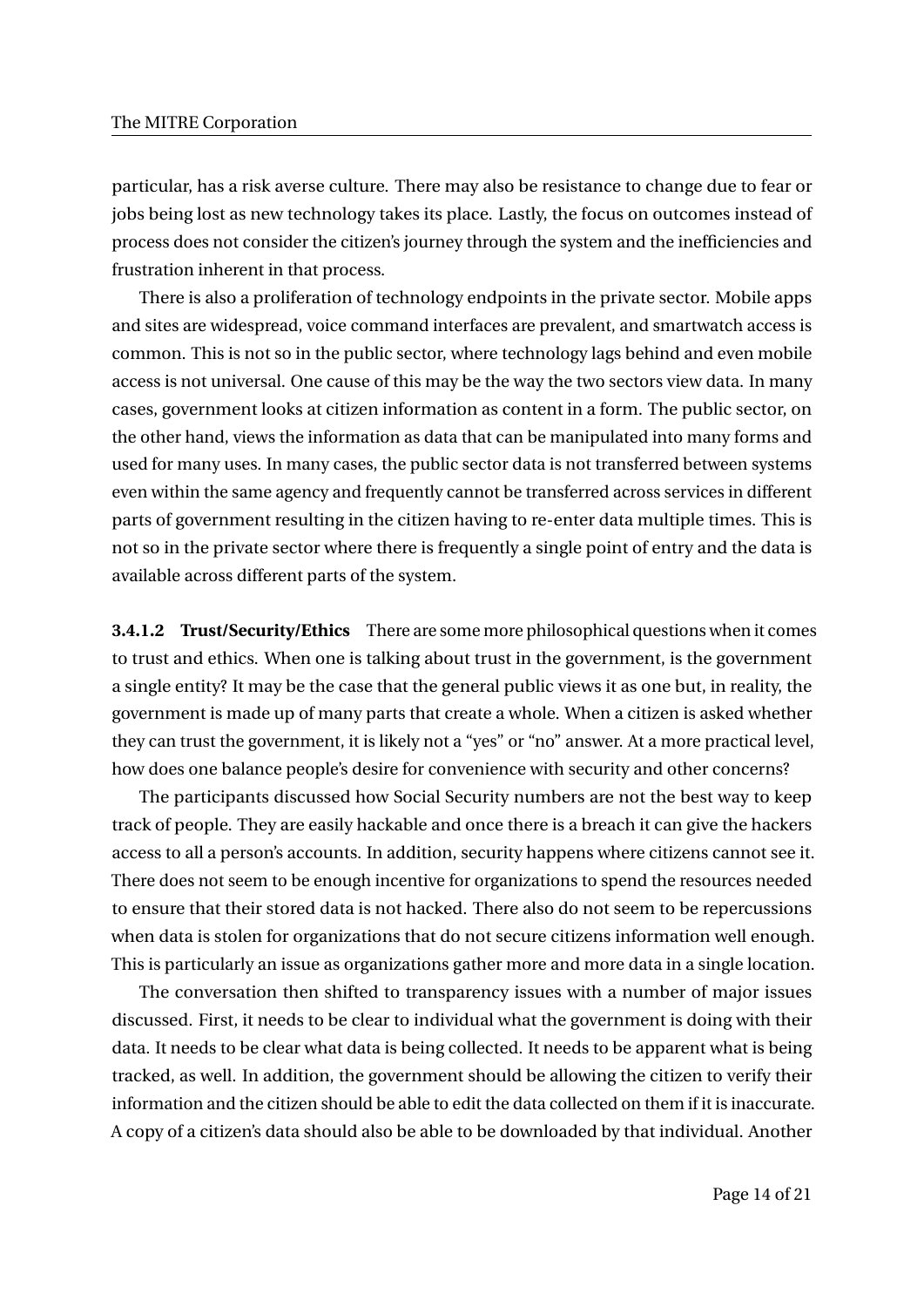particular, has a risk averse culture. There may also be resistance to change due to fear or jobs being lost as new technology takes its place. Lastly, the focus on outcomes instead of process does not consider the citizen's journey through the system and the inefficiencies and frustration inherent in that process.

There is also a proliferation of technology endpoints in the private sector. Mobile apps and sites are widespread, voice command interfaces are prevalent, and smartwatch access is common. This is not so in the public sector, where technology lags behind and even mobile access is not universal. One cause of this may be the way the two sectors view data. In many cases, government looks at citizen information as content in a form. The public sector, on the other hand, views the information as data that can be manipulated into many forms and used for many uses. In many cases, the public sector data is not transferred between systems even within the same agency and frequently cannot be transferred across services in different parts of government resulting in the citizen having to re-enter data multiple times. This is not so in the private sector where there is frequently a single point of entry and the data is available across different parts of the system.

**3.4.1.2 Trust/Security/Ethics** There are some more philosophical questions when it comes to trust and ethics. When one is talking about trust in the government, is the government a single entity? It may be the case that the general public views it as one but, in reality, the government is made up of many parts that create a whole. When a citizen is asked whether they can trust the government, it is likely not a "yes" or "no" answer. At a more practical level, how does one balance people's desire for convenience with security and other concerns?

The participants discussed how Social Security numbers are not the best way to keep track of people. They are easily hackable and once there is a breach it can give the hackers access to all a person's accounts. In addition, security happens where citizens cannot see it. There does not seem to be enough incentive for organizations to spend the resources needed to ensure that their stored data is not hacked. There also do not seem to be repercussions when data is stolen for organizations that do not secure citizens information well enough. This is particularly an issue as organizations gather more and more data in a single location.

The conversation then shifted to transparency issues with a number of major issues discussed. First, it needs to be clear to individual what the government is doing with their data. It needs to be clear what data is being collected. It needs to be apparent what is being tracked, as well. In addition, the government should be allowing the citizen to verify their information and the citizen should be able to edit the data collected on them if it is inaccurate. A copy of a citizen's data should also be able to be downloaded by that individual. Another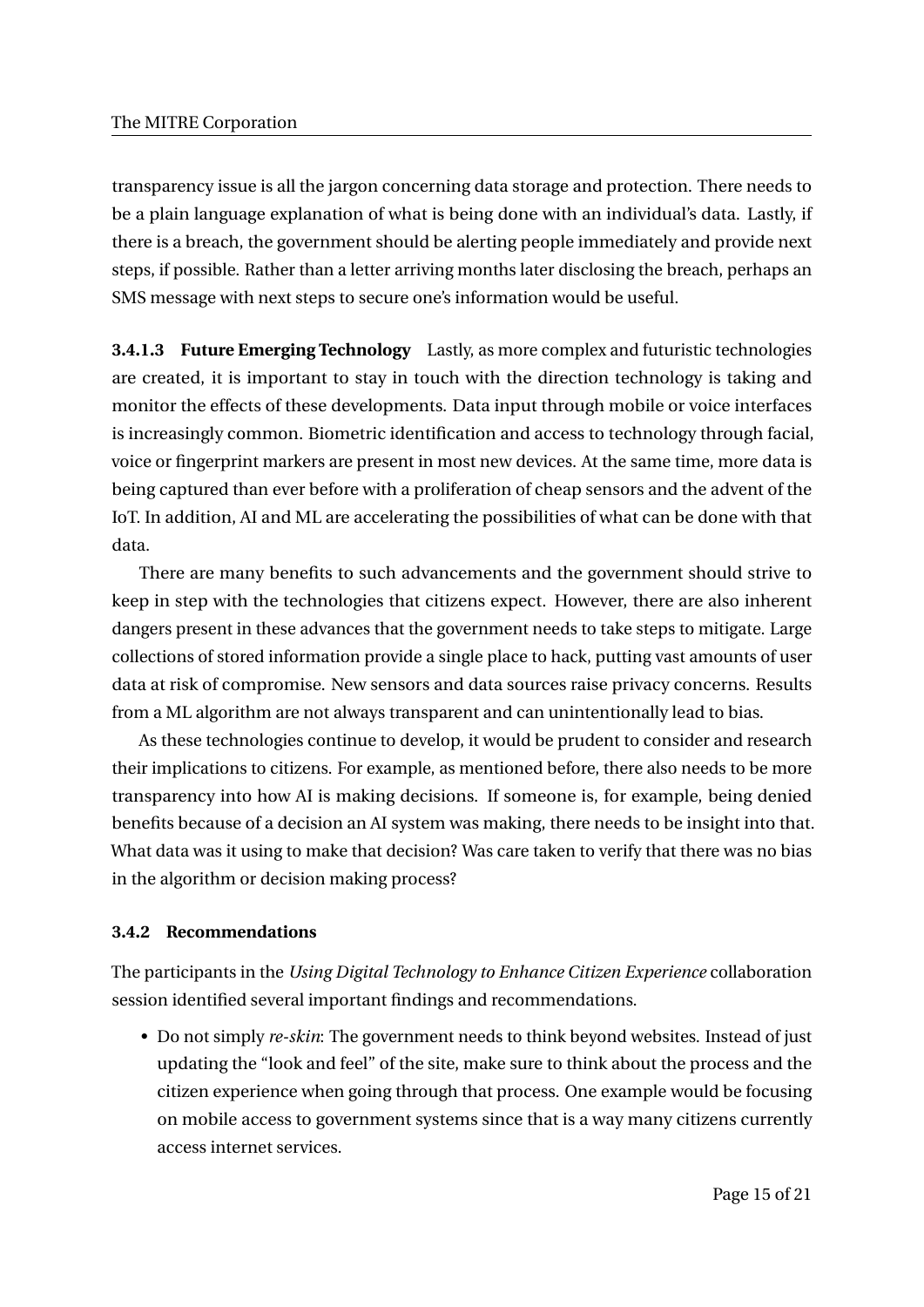transparency issue is all the jargon concerning data storage and protection. There needs to be a plain language explanation of what is being done with an individual's data. Lastly, if there is a breach, the government should be alerting people immediately and provide next steps, if possible. Rather than a letter arriving months later disclosing the breach, perhaps an SMS message with next steps to secure one's information would be useful.

**3.4.1.3 Future Emerging Technology** Lastly, as more complex and futuristic technologies are created, it is important to stay in touch with the direction technology is taking and monitor the effects of these developments. Data input through mobile or voice interfaces is increasingly common. Biometric identification and access to technology through facial, voice or fingerprint markers are present in most new devices. At the same time, more data is being captured than ever before with a proliferation of cheap sensors and the advent of the IoT. In addition, AI and ML are accelerating the possibilities of what can be done with that data.

There are many benefits to such advancements and the government should strive to keep in step with the technologies that citizens expect. However, there are also inherent dangers present in these advances that the government needs to take steps to mitigate. Large collections of stored information provide a single place to hack, putting vast amounts of user data at risk of compromise. New sensors and data sources raise privacy concerns. Results from a ML algorithm are not always transparent and can unintentionally lead to bias.

As these technologies continue to develop, it would be prudent to consider and research their implications to citizens. For example, as mentioned before, there also needs to be more transparency into how AI is making decisions. If someone is, for example, being denied benefits because of a decision an AI system was making, there needs to be insight into that. What data was it using to make that decision? Was care taken to verify that there was no bias in the algorithm or decision making process?

#### **3.4.2 Recommendations**

The participants in the *Using Digital Technology to Enhance Citizen Experience* collaboration session identified several important findings and recommendations.

• Do not simply *re-skin*: The government needs to think beyond websites. Instead of just updating the "look and feel" of the site, make sure to think about the process and the citizen experience when going through that process. One example would be focusing on mobile access to government systems since that is a way many citizens currently access internet services.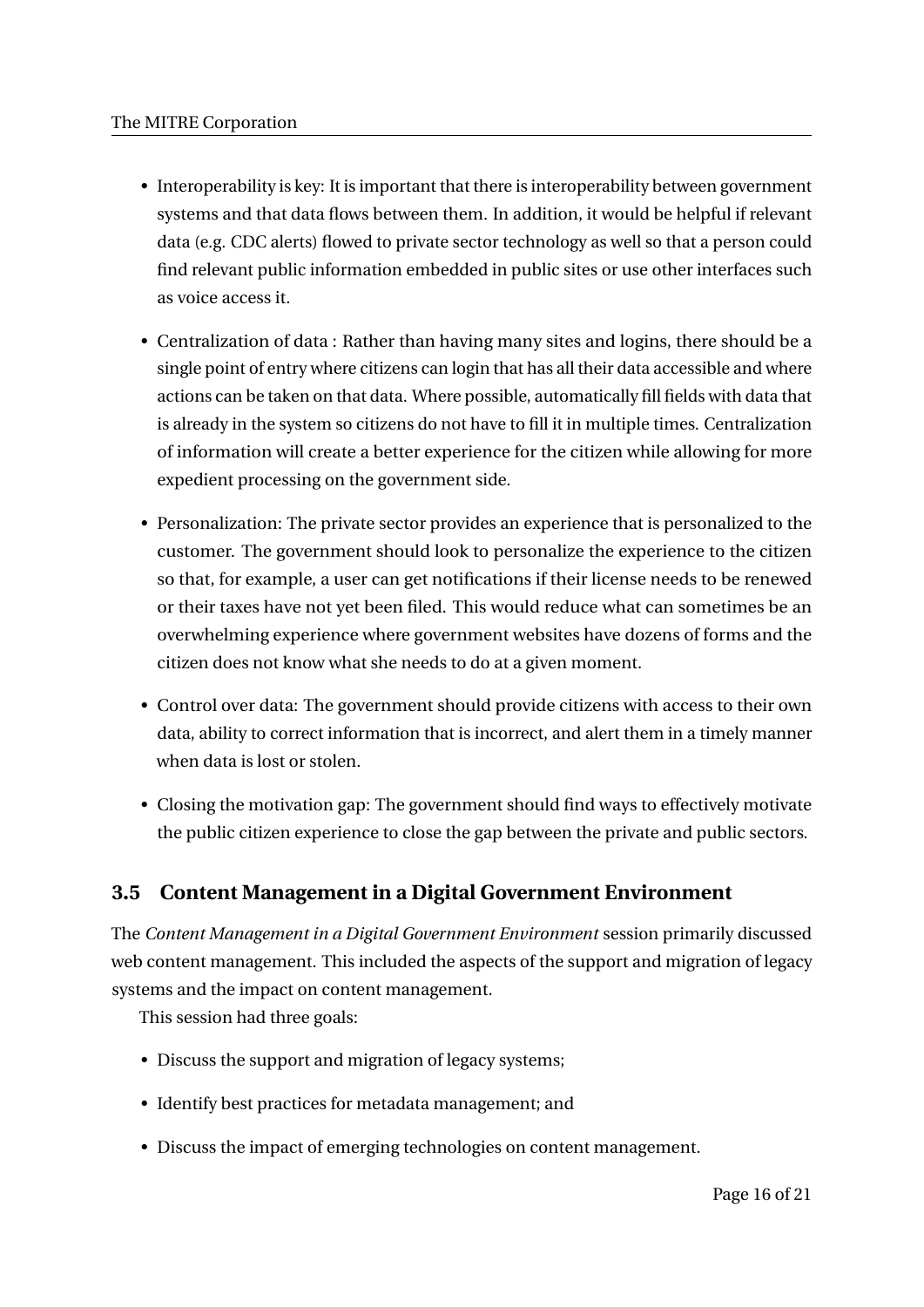- Interoperability is key: It is important that there is interoperability between government systems and that data flows between them. In addition, it would be helpful if relevant data (e.g. CDC alerts) flowed to private sector technology as well so that a person could find relevant public information embedded in public sites or use other interfaces such as voice access it.
- Centralization of data : Rather than having many sites and logins, there should be a single point of entry where citizens can login that has all their data accessible and where actions can be taken on that data. Where possible, automatically fill fields with data that is already in the system so citizens do not have to fill it in multiple times. Centralization of information will create a better experience for the citizen while allowing for more expedient processing on the government side.
- Personalization: The private sector provides an experience that is personalized to the customer. The government should look to personalize the experience to the citizen so that, for example, a user can get notifications if their license needs to be renewed or their taxes have not yet been filed. This would reduce what can sometimes be an overwhelming experience where government websites have dozens of forms and the citizen does not know what she needs to do at a given moment.
- Control over data: The government should provide citizens with access to their own data, ability to correct information that is incorrect, and alert them in a timely manner when data is lost or stolen.
- Closing the motivation gap: The government should find ways to effectively motivate the public citizen experience to close the gap between the private and public sectors.

## **3.5 Content Management in a Digital Government Environment**

The *Content Management in a Digital Government Environment* session primarily discussed web content management. This included the aspects of the support and migration of legacy systems and the impact on content management.

This session had three goals:

- Discuss the support and migration of legacy systems;
- Identify best practices for metadata management; and
- Discuss the impact of emerging technologies on content management.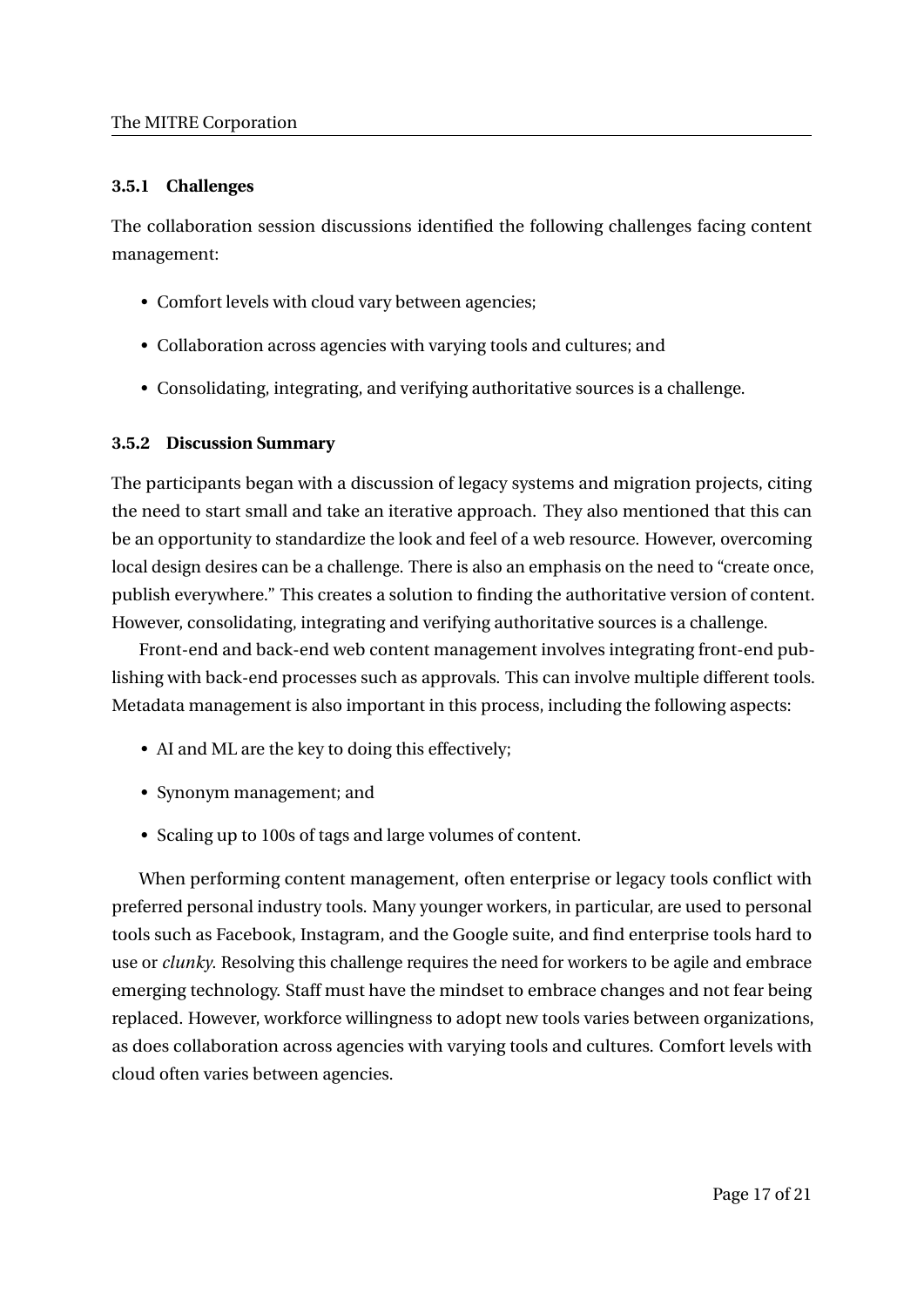## **3.5.1 Challenges**

The collaboration session discussions identified the following challenges facing content management:

- Comfort levels with cloud vary between agencies;
- Collaboration across agencies with varying tools and cultures; and
- Consolidating, integrating, and verifying authoritative sources is a challenge.

## **3.5.2 Discussion Summary**

The participants began with a discussion of legacy systems and migration projects, citing the need to start small and take an iterative approach. They also mentioned that this can be an opportunity to standardize the look and feel of a web resource. However, overcoming local design desires can be a challenge. There is also an emphasis on the need to "create once, publish everywhere." This creates a solution to finding the authoritative version of content. However, consolidating, integrating and verifying authoritative sources is a challenge.

Front-end and back-end web content management involves integrating front-end publishing with back-end processes such as approvals. This can involve multiple different tools. Metadata management is also important in this process, including the following aspects:

- AI and ML are the key to doing this effectively;
- Synonym management; and
- Scaling up to 100s of tags and large volumes of content.

When performing content management, often enterprise or legacy tools conflict with preferred personal industry tools. Many younger workers, in particular, are used to personal tools such as Facebook, Instagram, and the Google suite, and find enterprise tools hard to use or *clunky*. Resolving this challenge requires the need for workers to be agile and embrace emerging technology. Staff must have the mindset to embrace changes and not fear being replaced. However, workforce willingness to adopt new tools varies between organizations, as does collaboration across agencies with varying tools and cultures. Comfort levels with cloud often varies between agencies.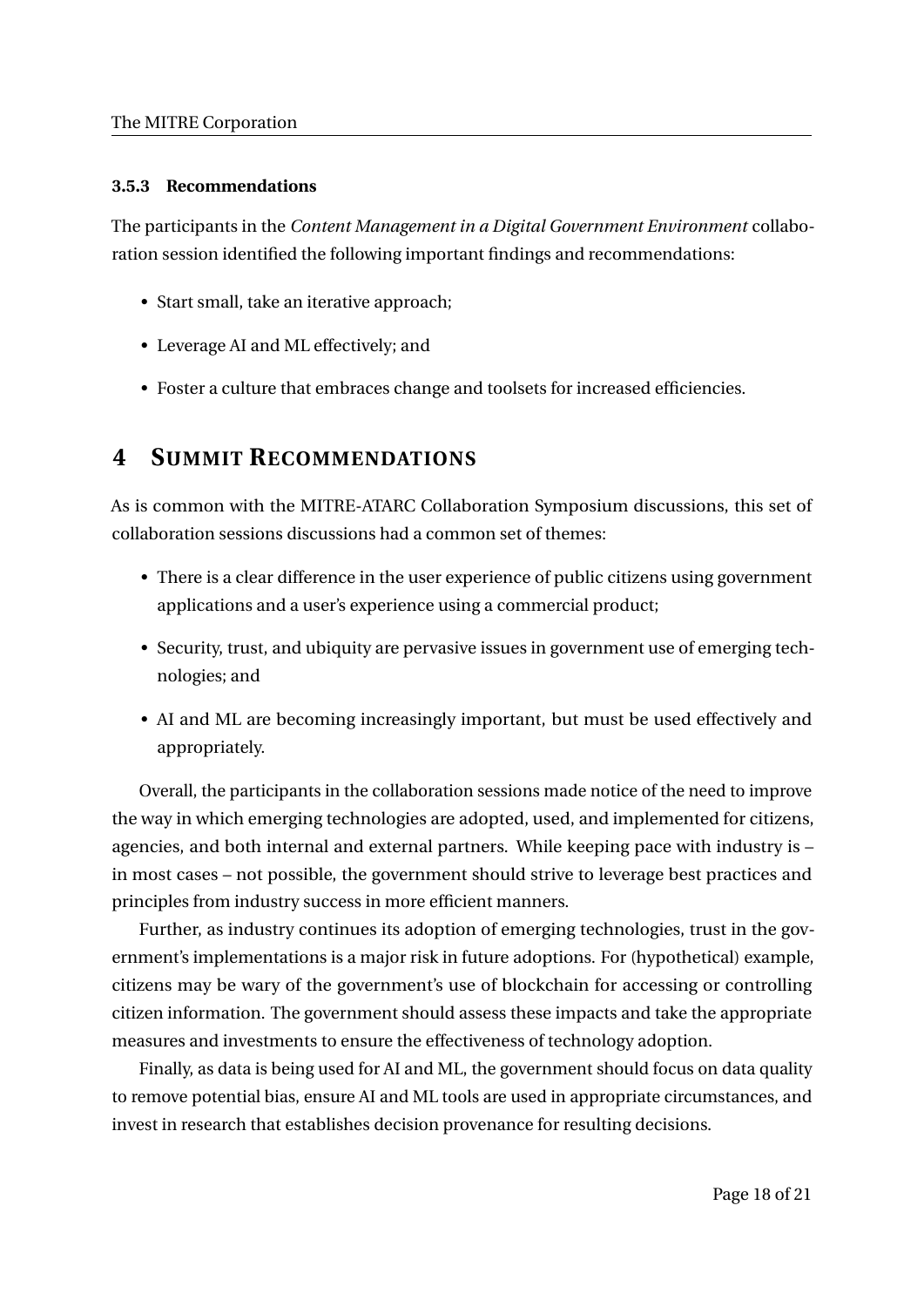## **3.5.3 Recommendations**

The participants in the *Content Management in a Digital Government Environment* collaboration session identified the following important findings and recommendations:

- Start small, take an iterative approach;
- Leverage AI and ML effectively; and
- Foster a culture that embraces change and toolsets for increased efficiencies.

## **4 SUMMIT RECOMMENDATIONS**

As is common with the MITRE-ATARC Collaboration Symposium discussions, this set of collaboration sessions discussions had a common set of themes:

- There is a clear difference in the user experience of public citizens using government applications and a user's experience using a commercial product;
- Security, trust, and ubiquity are pervasive issues in government use of emerging technologies; and
- AI and ML are becoming increasingly important, but must be used effectively and appropriately.

Overall, the participants in the collaboration sessions made notice of the need to improve the way in which emerging technologies are adopted, used, and implemented for citizens, agencies, and both internal and external partners. While keeping pace with industry is – in most cases – not possible, the government should strive to leverage best practices and principles from industry success in more efficient manners.

Further, as industry continues its adoption of emerging technologies, trust in the government's implementations is a major risk in future adoptions. For (hypothetical) example, citizens may be wary of the government's use of blockchain for accessing or controlling citizen information. The government should assess these impacts and take the appropriate measures and investments to ensure the effectiveness of technology adoption.

Finally, as data is being used for AI and ML, the government should focus on data quality to remove potential bias, ensure AI and ML tools are used in appropriate circumstances, and invest in research that establishes decision provenance for resulting decisions.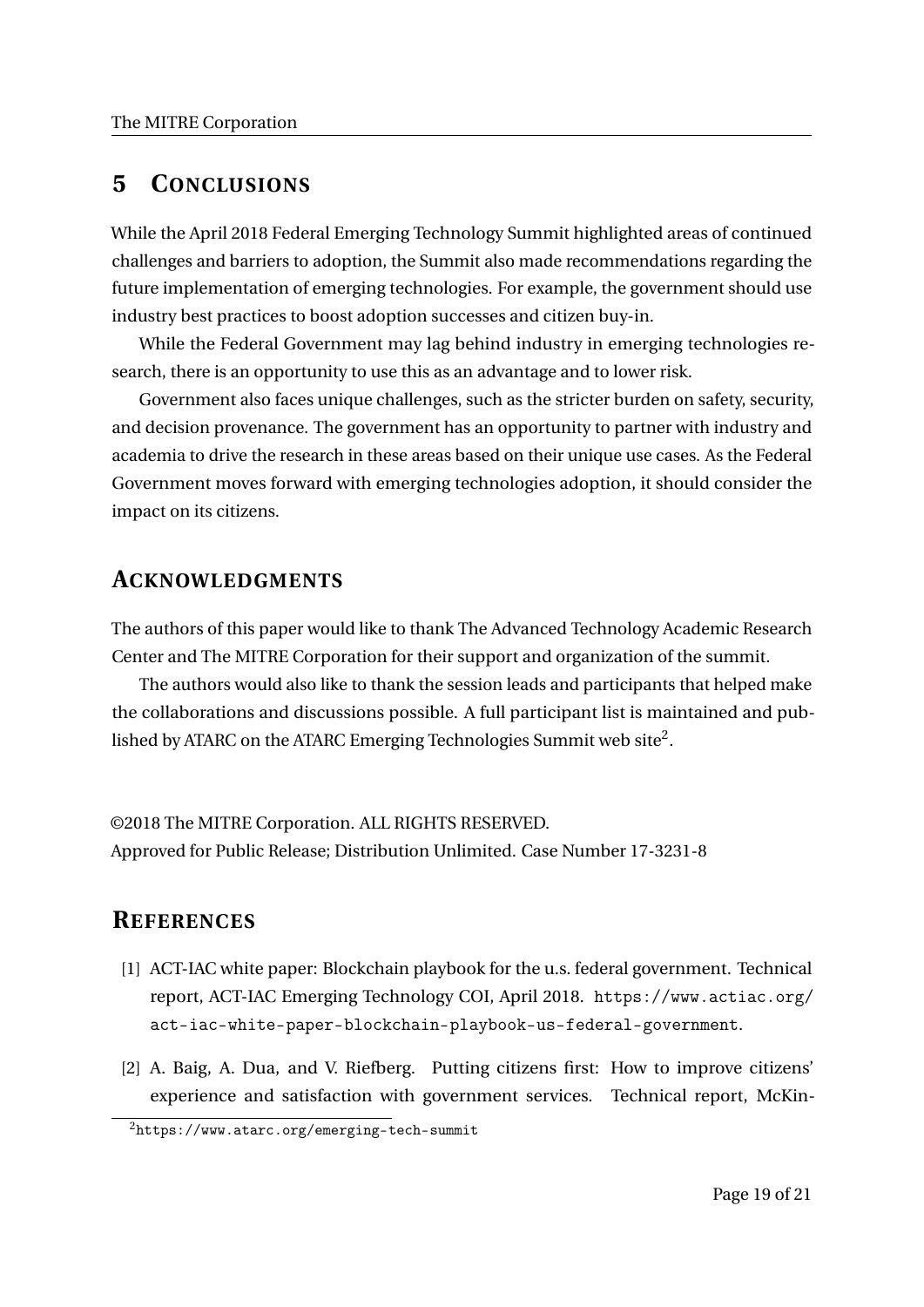## **5 CONCLUSIONS**

While the April 2018 Federal Emerging Technology Summit highlighted areas of continued challenges and barriers to adoption, the Summit also made recommendations regarding the future implementation of emerging technologies. For example, the government should use industry best practices to boost adoption successes and citizen buy-in.

While the Federal Government may lag behind industry in emerging technologies research, there is an opportunity to use this as an advantage and to lower risk.

Government also faces unique challenges, such as the stricter burden on safety, security, and decision provenance. The government has an opportunity to partner with industry and academia to drive the research in these areas based on their unique use cases. As the Federal Government moves forward with emerging technologies adoption, it should consider the impact on its citizens.

## **ACKNOWLEDGMENTS**

The authors of this paper would like to thank The Advanced Technology Academic Research Center and The MITRE Corporation for their support and organization of the summit.

The authors would also like to thank the session leads and participants that helped make the collaborations and discussions possible. A full participant list is maintained and published by ATARC on the ATARC Emerging Technologies Summit web site $^2.$ 

©2018 The MITRE Corporation. ALL RIGHTS RESERVED. Approved for Public Release; Distribution Unlimited. Case Number 17-3231-8

## **REFERENCES**

- [1] ACT-IAC white paper: Blockchain playbook for the u.s. federal government. Technical report, ACT-IAC Emerging Technology COI, April 2018. https://www.actiac.org/ act-iac-white-paper-blockchain-playbook-us-federal-government.
- [2] A. Baig, A. Dua, and V. Riefberg. Putting citizens first: How to improve citizens' experience and satisfaction with government services. Technical report, McKin-

<sup>2</sup>https://www.atarc.org/emerging-tech-summit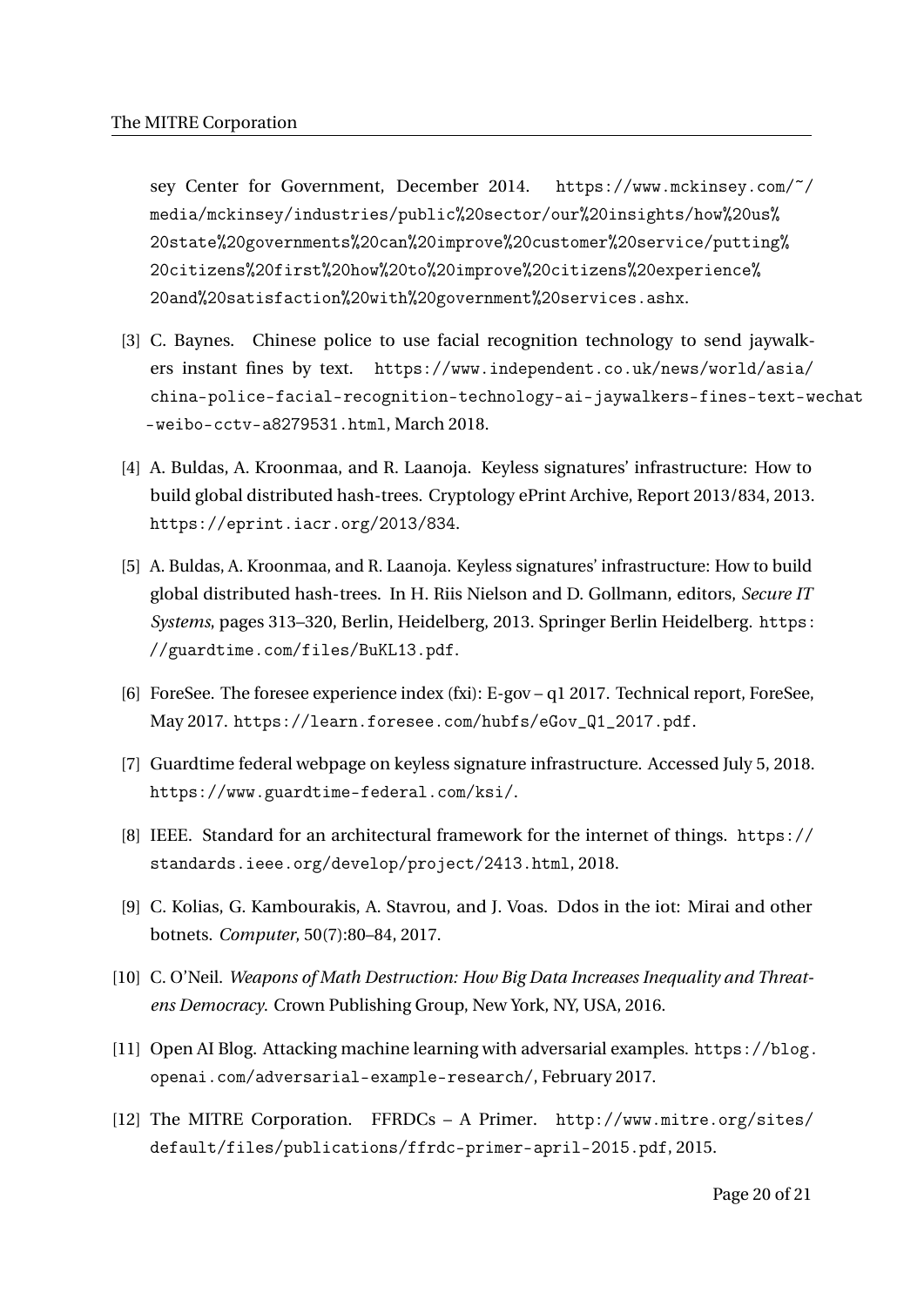sey Center for Government, December 2014. https://www.mckinsey.com/~/ media/mckinsey/industries/public%20sector/our%20insights/how%20us% 20state%20governments%20can%20improve%20customer%20service/putting% 20citizens%20first%20how%20to%20improve%20citizens%20experience% 20and%20satisfaction%20with%20government%20services.ashx.

- [3] C. Baynes. Chinese police to use facial recognition technology to send jaywalkers instant fines by text. https://www.independent.co.uk/news/world/asia/ china-police-facial-recognition-technology-ai-jaywalkers-fines-text-wechat -weibo-cctv-a8279531.html, March 2018.
- [4] A. Buldas, A. Kroonmaa, and R. Laanoja. Keyless signatures' infrastructure: How to build global distributed hash-trees. Cryptology ePrint Archive, Report 2013/834, 2013. https://eprint.iacr.org/2013/834.
- [5] A. Buldas, A. Kroonmaa, and R. Laanoja. Keyless signatures' infrastructure: How to build global distributed hash-trees. In H. Riis Nielson and D. Gollmann, editors, *Secure IT Systems*, pages 313–320, Berlin, Heidelberg, 2013. Springer Berlin Heidelberg. https: //guardtime.com/files/BuKL13.pdf.
- [6] ForeSee. The foresee experience index (fxi): E-gov q1 2017. Technical report, ForeSee, May 2017. https://learn.foresee.com/hubfs/eGov\_Q1\_2017.pdf.
- [7] Guardtime federal webpage on keyless signature infrastructure. Accessed July 5, 2018. https://www.guardtime-federal.com/ksi/.
- [8] IEEE. Standard for an architectural framework for the internet of things. https:// standards.ieee.org/develop/project/2413.html, 2018.
- [9] C. Kolias, G. Kambourakis, A. Stavrou, and J. Voas. Ddos in the iot: Mirai and other botnets. *Computer*, 50(7):80–84, 2017.
- [10] C. O'Neil. *Weapons of Math Destruction: How Big Data Increases Inequality and Threatens Democracy*. Crown Publishing Group, New York, NY, USA, 2016.
- [11] Open AI Blog. Attacking machine learning with adversarial examples. https://blog. openai.com/adversarial-example-research/, February 2017.
- [12] The MITRE Corporation. FFRDCs A Primer. http://www.mitre.org/sites/ default/files/publications/ffrdc-primer-april-2015.pdf, 2015.